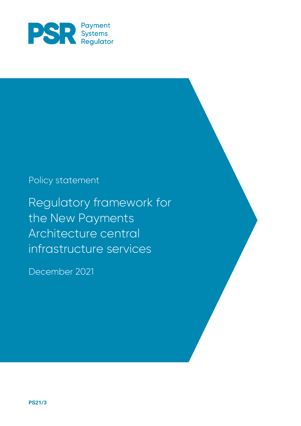

# Policy statement

Regulatory framework for the New Payments Architecture central infrastructure services

December 2021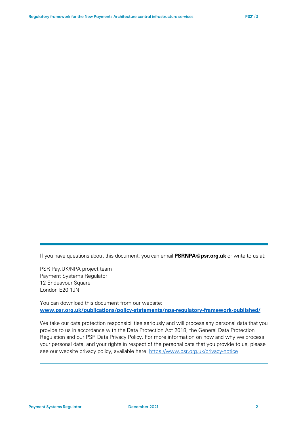If you have questions about this document, you can email **PSRNPA@psr.org.uk** or write to us at:

PSR Pay.UK/NPA project team Payment Systems Regulator 12 Endeavour Square London E20 1JN

You can download this document from our website: **[www.psr.org.uk/publications/policy-statements/npa-regulatory-framework-published/](http://www.psr.org.uk/publications/policy-statements/npa-regulatory-framework-published/)**

We take our data protection responsibilities seriously and will process any personal data that you provide to us in accordance with the Data Protection Act 2018, the General Data Protection Regulation and our PSR Data Privacy Policy. For more information on how and why we process your personal data, and your rights in respect of the personal data that you provide to us, please see our website privacy policy, available here:<https://www.psr.org.uk/privacy-notice>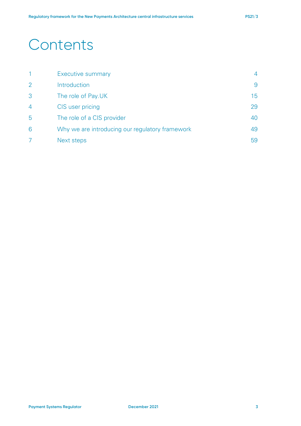# **Contents**

|                | <b>Executive summary</b>                        | 4  |
|----------------|-------------------------------------------------|----|
| $\overline{2}$ | Introduction                                    | 9  |
| 3              | The role of Pay.UK                              | 15 |
| $\overline{4}$ | CIS user pricing                                | 29 |
| 5              | The role of a CIS provider                      | 40 |
| 6              | Why we are introducing our regulatory framework | 49 |
|                | Next steps                                      | 59 |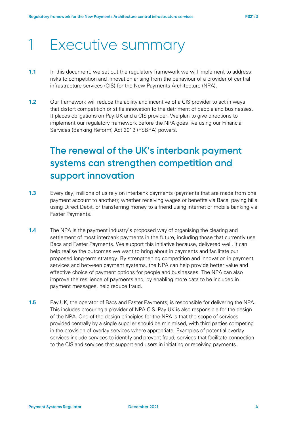# 1 Executive summary

- **1.1** In this document, we set out the regulatory framework we will implement to address risks to competition and innovation arising from the behaviour of a provider of central infrastructure services (CIS) for the New Payments Architecture (NPA).
- **1.2** Our framework will reduce the ability and incentive of a CIS provider to act in ways that distort competition or stifle innovation to the detriment of people and businesses. It places obligations on Pay.UK and a CIS provider. We plan to give directions to implement our regulatory framework before the NPA goes live using our Financial Services (Banking Reform) Act 2013 (FSBRA) powers.

# **The renewal of the UK's interbank payment systems can strengthen competition and support innovation**

- **1.3** Every day, millions of us rely on interbank payments (payments that are made from one payment account to another); whether receiving wages or benefits via Bacs, paying bills using Direct Debit, or transferring money to a friend using internet or mobile banking via Faster Payments.
- **1.4** The NPA is the payment industry's proposed way of organising the clearing and settlement of most interbank payments in the future, including those that currently use Bacs and Faster Payments. We support this initiative because, delivered well, it can help realise the outcomes we want to bring about in payments and facilitate our proposed long-term strategy. By strengthening competition and innovation in payment services and between payment systems, the NPA can help provide better value and effective choice of payment options for people and businesses. The NPA can also improve the resilience of payments and, by enabling more data to be included in payment messages, help reduce fraud.
- **1.5** Pay.UK, the operator of Bacs and Faster Payments, is responsible for delivering the NPA. This includes procuring a provider of NPA CIS. Pay.UK is also responsible for the design of the NPA. One of the design principles for the NPA is that the scope of services provided centrally by a single supplier should be minimised, with third parties competing in the provision of overlay services where appropriate. Examples of potential overlay services include services to identify and prevent fraud, services that facilitate connection to the CIS and services that support end users in initiating or receiving payments.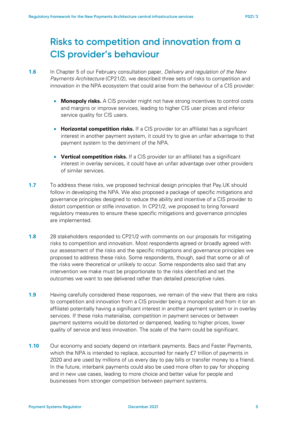# **Risks to competition and innovation from a CIS provider's behaviour**

- **1.6** In Chapter 5 of our February consultation paper, *Delivery and regulation of the New Payments Architecture* (CP21/2)*,* we described three sets of risks to competition and innovation in the NPA ecosystem that could arise from the behaviour of a CIS provider:
	- **Monopoly risks.** A CIS provider might not have strong incentives to control costs and margins or improve services, leading to higher CIS user prices and inferior service quality for CIS users.
	- **Horizontal competition risks.** If a CIS provider (or an affiliate) has a significant interest in another payment system, it could try to give an unfair advantage to that payment system to the detriment of the NPA.
	- **Vertical competition risks.** If a CIS provider (or an affiliate) has a significant interest in overlay services, it could have an unfair advantage over other providers of similar services.
- **1.7** To address these risks, we proposed technical design principles that Pay.UK should follow in developing the NPA. We also proposed a package of specific mitigations and governance principles designed to reduce the ability and incentive of a CIS provider to distort competition or stifle innovation. In CP21/2, we proposed to bring forward regulatory measures to ensure these specific mitigations and governance principles are implemented.
- **1.8** 28 stakeholders responded to CP21/2 with comments on our proposals for mitigating risks to competition and innovation. Most respondents agreed or broadly agreed with our assessment of the risks and the specific mitigations and governance principles we proposed to address these risks. Some respondents, though, said that some or all of the risks were theoretical or unlikely to occur. Some respondents also said that any intervention we make must be proportionate to the risks identified and set the outcomes we want to see delivered rather than detailed prescriptive rules.
- **1.9** Having carefully considered these responses, we remain of the view that there are risks to competition and innovation from a CIS provider being a monopolist and from it (or an affiliate) potentially having a significant interest in another payment system or in overlay services. If these risks materialise, competition in payment services or between payment systems would be distorted or dampened, leading to higher prices, lower quality of service and less innovation. The scale of the harm could be significant.
- **1.10** Our economy and society depend on interbank payments. Bacs and Faster Payments, which the NPA is intended to replace, accounted for nearly £7 trillion of payments in 2020 and are used by millions of us every day to pay bills or transfer money to a friend. In the future, interbank payments could also be used more often to pay for shopping and in new use cases, leading to more choice and better value for people and businesses from stronger competition between payment systems.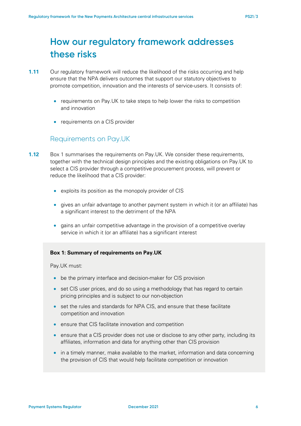# **How our regulatory framework addresses these risks**

- **1.11** Our regulatory framework will reduce the likelihood of the risks occurring and help ensure that the NPA delivers outcomes that support our statutory objectives to promote competition, innovation and the interests of service-users. It consists of:
	- requirements on Pay. UK to take steps to help lower the risks to competition and innovation
	- requirements on a CIS provider

## Requirements on Pay.UK

- **1.12** Box 1 summarises the requirements on Pay.UK. We consider these requirements, together with the technical design principles and the existing obligations on Pay.UK to select a CIS provider through a competitive procurement process, will prevent or reduce the likelihood that a CIS provider:
	- exploits its position as the monopoly provider of CIS
	- gives an unfair advantage to another payment system in which it (or an affiliate) has a significant interest to the detriment of the NPA
	- gains an unfair competitive advantage in the provision of a competitive overlay service in which it (or an affiliate) has a significant interest

### **Box 1: Summary of requirements on Pay.UK**

Pay.UK must:

- be the primary interface and decision-maker for CIS provision
- set CIS user prices, and do so using a methodology that has regard to certain pricing principles and is subject to our non-objection
- set the rules and standards for NPA CIS, and ensure that these facilitate competition and innovation
- ensure that CIS facilitate innovation and competition
- ensure that a CIS provider does not use or disclose to any other party, including its affiliates, information and data for anything other than CIS provision
- in a timely manner, make available to the market, information and data concerning the provision of CIS that would help facilitate competition or innovation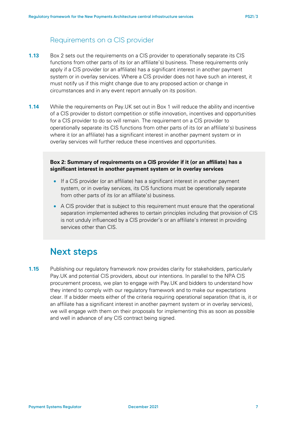## Requirements on a CIS provider

- **1.13** Box 2 sets out the requirements on a CIS provider to operationally separate its CIS functions from other parts of its (or an affiliate's) business. These requirements only apply if a CIS provider (or an affiliate) has a significant interest in another payment system or in overlay services. Where a CIS provider does not have such an interest, it must notify us if this might change due to any proposed action or change in circumstances and in any event report annually on its position.
- **1.14** While the requirements on Pay.UK set out in Box 1 will reduce the ability and incentive of a CIS provider to distort competition or stifle innovation, incentives and opportunities for a CIS provider to do so will remain. The requirement on a CIS provider to operationally separate its CIS functions from other parts of its (or an affiliate's) business where it (or an affiliate) has a significant interest in another payment system or in overlay services will further reduce these incentives and opportunities.

### **Box 2: Summary of requirements on a CIS provider if it (or an affiliate) has a significant interest in another payment system or in overlay services**

- If a CIS provider (or an affiliate) has a significant interest in another payment system, or in overlay services, its CIS functions must be operationally separate from other parts of its (or an affiliate's) business.
- A CIS provider that is subject to this requirement must ensure that the operational separation implemented adheres to certain principles including that provision of CIS is not unduly influenced by a CIS provider's or an affiliate's interest in providing services other than CIS.

## **Next steps**

**1.15** Publishing our regulatory framework now provides clarity for stakeholders, particularly Pay.UK and potential CIS providers, about our intentions. In parallel to the NPA CIS procurement process, we plan to engage with Pay.UK and bidders to understand how they intend to comply with our regulatory framework and to make our expectations clear. If a bidder meets either of the criteria requiring operational separation (that is, it or an affiliate has a significant interest in another payment system or in overlay services), we will engage with them on their proposals for implementing this as soon as possible and well in advance of any CIS contract being signed.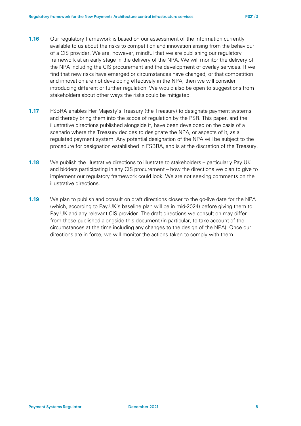- **1.16** Our regulatory framework is based on our assessment of the information currently available to us about the risks to competition and innovation arising from the behaviour of a CIS provider. We are, however, mindful that we are publishing our regulatory framework at an early stage in the delivery of the NPA. We will monitor the delivery of the NPA including the CIS procurement and the development of overlay services. If we find that new risks have emerged or circumstances have changed, or that competition and innovation are not developing effectively in the NPA, then we will consider introducing different or further regulation. We would also be open to suggestions from stakeholders about other ways the risks could be mitigated.
- **1.17** FSBRA enables Her Majesty's Treasury (the Treasury) to designate payment systems and thereby bring them into the scope of regulation by the PSR. This paper, and the illustrative directions published alongside it, have been developed on the basis of a scenario where the Treasury decides to designate the NPA, or aspects of it, as a regulated payment system. Any potential designation of the NPA will be subject to the procedure for designation established in FSBRA, and is at the discretion of the Treasury.
- **1.18** We publish the illustrative directions to illustrate to stakeholders particularly Pay.UK and bidders participating in any CIS procurement – how the directions we plan to give to implement our regulatory framework could look. We are not seeking comments on the illustrative directions.
- **1.19** We plan to publish and consult on draft directions closer to the go-live date for the NPA (which, according to Pay.UK's baseline plan will be in mid-2024) before giving them to Pay.UK and any relevant CIS provider. The draft directions we consult on may differ from those published alongside this document (in particular, to take account of the circumstances at the time including any changes to the design of the NPA). Once our directions are in force, we will monitor the actions taken to comply with them.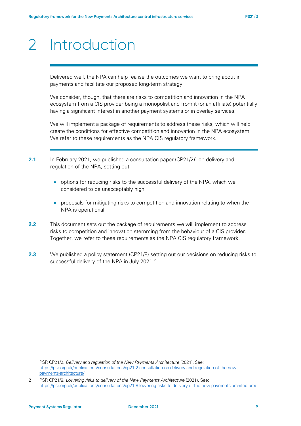# <span id="page-8-2"></span>2 Introduction

Delivered well, the NPA can help realise the outcomes we want to bring about in payments and facilitate our proposed long-term strategy.

We consider, though, that there are risks to competition and innovation in the NPA ecosystem from a CIS provider being a monopolist and from it (or an affiliate) potentially having a significant interest in another payment systems or in overlay services.

We will implement a package of requirements to address these risks, which will help create the conditions for effective competition and innovation in the NPA ecosystem. We refer to these requirements as the NPA CIS regulatory framework.

- **2.[1](#page-8-0)** In February 2021, we published a consultation paper  $(CP21/2)^1$  on delivery and regulation of the NPA, setting out:
	- options for reducing risks to the successful delivery of the NPA, which we considered to be unacceptably high
	- proposals for mitigating risks to competition and innovation relating to when the NPA is operational
- **2.2** This document sets out the package of requirements we will implement to address risks to competition and innovation stemming from the behaviour of a CIS provider. Together, we refer to these requirements as the NPA CIS regulatory framework.
- **2.3** We published a policy statement (CP21/8) setting out our decisions on reducing risks to successful delivery of the NPA in July [2](#page-8-1)021.<sup>2</sup>

<span id="page-8-0"></span><sup>1</sup> PSR CP21/2, *Delivery and regulation of the New Payments Architecture* (2021). See: [https://psr.org.uk/publications/consultations/cp21-2-consultation-on-delivery-and-regulation-of-the-new](https://psr.org.uk/publications/consultations/cp21-2-consultation-on-delivery-and-regulation-of-the-new-payments-architecture/)[payments-architecture/](https://psr.org.uk/publications/consultations/cp21-2-consultation-on-delivery-and-regulation-of-the-new-payments-architecture/)

<span id="page-8-1"></span><sup>2</sup> PSR CP21/8, *Lowering risks to delivery of the New Payments Architecture* (2021). See: <https://psr.org.uk/publications/consultations/cp21-8-lowering-risks-to-delivery-of-the-new-payments-architecture/>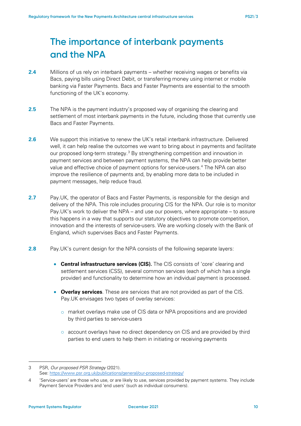# **The importance of interbank payments and the NPA**

- **2.4** Millions of us rely on interbank payments whether receiving wages or benefits via Bacs, paying bills using Direct Debit, or transferring money using internet or mobile banking via Faster Payments. Bacs and Faster Payments are essential to the smooth functioning of the UK's economy.
- **2.5** The NPA is the payment industry's proposed way of organising the clearing and settlement of most interbank payments in the future, including those that currently use Bacs and Faster Payments.
- **2.6** We support this initiative to renew the UK's retail interbank infrastructure. Delivered well, it can help realise the outcomes we want to bring about in payments and facilitate our proposed long-term strategy.<sup>[3](#page-9-0)</sup> By strengthening competition and innovation in payment services and between payment systems, the NPA can help provide better value and effective choice of payment options for service-users.[4](#page-9-1) The NPA can also improve the resilience of payments and, by enabling more data to be included in payment messages, help reduce fraud.
- **2.7** Pay.UK, the operator of Bacs and Faster Payments, is responsible for the design and delivery of the NPA. This role includes procuring CIS for the NPA. Our role is to monitor Pay.UK's work to deliver the NPA – and use our powers, where appropriate – to assure this happens in a way that supports our statutory objectives to promote competition, innovation and the interests of service-users. We are working closely with the Bank of England, which supervises Bacs and Faster Payments.
- <span id="page-9-2"></span>**2.8** Pay.UK's current design for the NPA consists of the following separate layers:
	- **Central infrastructure services (CIS).** The CIS consists of 'core' clearing and settlement services (CSS), several common services (each of which has a single provider) and functionality to determine how an individual payment is processed.
	- **Overlay services**. These are services that are not provided as part of the CIS. Pay.UK envisages two types of overlay services:
		- o market overlays make use of CIS data or NPA propositions and are provided by third parties to service-users
		- o account overlays have no direct dependency on CIS and are provided by third parties to end users to help them in initiating or receiving payments

<span id="page-9-0"></span><sup>3</sup> PSR, *Our proposed PSR Strategy* (2021). See:<https://www.psr.org.uk/publications/general/our-proposed-strategy/>

<span id="page-9-1"></span><sup>4 &#</sup>x27;Service-users' are those who use, or are likely to use, services provided by payment systems. They include Payment Service Providers and 'end users' (such as individual consumers).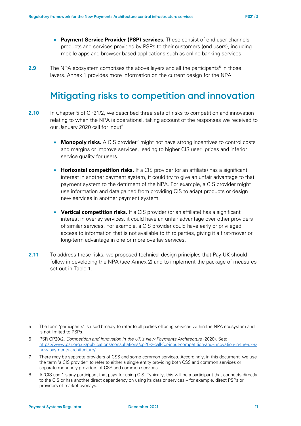- **Payment Service Provider (PSP) services.** These consist of end-user channels, products and services provided by PSPs to their customers (end users), including mobile apps and browser-based applications such as online banking services.
- <span id="page-10-4"></span>**2.9** The NPA ecosystem comprises the above layers and all the participants<sup>5</sup> in those layers. Annex 1 provides more information on the current design for the NPA.

# **Mitigating risks to competition and innovation**

- <span id="page-10-5"></span>**2.10** In Chapter 5 of CP21/2, we described three sets of risks to competition and innovation relating to when the NPA is operational, taking account of the responses we received to our January 2020 call for input<sup>6</sup>:
	- **Monopoly risks.** A CIS provider<sup>[7](#page-10-2)</sup> might not have strong incentives to control costs and margins or improve services, leading to higher CIS user<sup>[8](#page-10-3)</sup> prices and inferior service quality for users.
	- **Horizontal competition risks.** If a CIS provider (or an affiliate) has a significant interest in another payment system, it could try to give an unfair advantage to that payment system to the detriment of the NPA. For example, a CIS provider might use information and data gained from providing CIS to adapt products or design new services in another payment system.
	- **Vertical competition risks.** If a CIS provider (or an affiliate) has a significant interest in overlay services, it could have an unfair advantage over other providers of similar services. For example, a CIS provider could have early or privileged access to information that is not available to third parties, giving it a first-mover or long-term advantage in one or more overlay services.
- **2.11** To address these risks, we proposed technical design principles that Pay.UK should follow in developing the NPA (see Annex 2) and to implement the package of measures set out in [Table 1.](#page-11-0)

<span id="page-10-0"></span><sup>5</sup> The term 'participants' is used broadly to refer to all parties offering services within the NPA ecosystem and is not limited to PSPs.

<span id="page-10-1"></span><sup>6</sup> PSR CP20/2, *Competition and Innovation in the UK's New Payments Architecture* (2020). See: [https://www.psr.org.uk/publications/consultations/cp20-2-call-for-input-competition-and-innovation-in-the-uk-s](https://www.psr.org.uk/publications/consultations/cp20-2-call-for-input-competition-and-innovation-in-the-uk-s-new-payments-architecture/)[new-payments-architecture/](https://www.psr.org.uk/publications/consultations/cp20-2-call-for-input-competition-and-innovation-in-the-uk-s-new-payments-architecture/)

<span id="page-10-2"></span><sup>7</sup> There may be separate providers of CSS and some common services. Accordingly, in this document, we use the term 'a CIS provider' to refer to either a single entity providing both CSS and common services or separate monopoly providers of CSS and common services.

<span id="page-10-3"></span><sup>8</sup> A 'CIS user' is any participant that pays for using CIS. Typically, this will be a participant that connects directly to the CIS or has another direct dependency on using its data or services – for example, direct PSPs or providers of market overlays.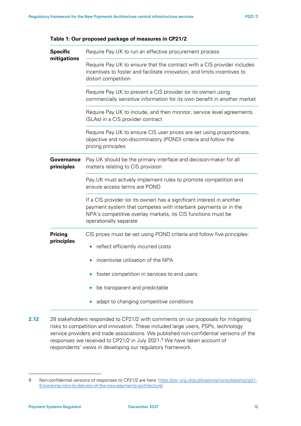| <b>Specific</b>              | Require Pay.UK to run an effective procurement process                                                                                                                                                                                                  |  |  |
|------------------------------|---------------------------------------------------------------------------------------------------------------------------------------------------------------------------------------------------------------------------------------------------------|--|--|
| mitigations                  | Require Pay.UK to ensure that the contract with a CIS provider includes<br>incentives to foster and facilitate innovation, and limits incentives to<br>distort competition                                                                              |  |  |
|                              | Require Pay.UK to prevent a CIS provider (or its owner) using<br>commercially sensitive information for its own benefit in another market<br>Require Pay.UK to include, and then monitor, service level agreements<br>(SLAs) in a CIS provider contract |  |  |
|                              |                                                                                                                                                                                                                                                         |  |  |
|                              | Require Pay. UK to ensure CIS user prices are set using proportionate,<br>objective and non-discriminatory (POND) criteria and follow the<br>pricing principles                                                                                         |  |  |
| Governance<br>principles     | Pay UK should be the primary interface and decision-maker for all<br>matters relating to CIS provision                                                                                                                                                  |  |  |
|                              | Pay.UK must actively implement rules to promote competition and<br>ensure access terms are POND                                                                                                                                                         |  |  |
|                              | If a CIS provider (or its owner) has a significant interest in another<br>payment system that competes with interbank payments or in the<br>NPA's competitive overlay markets, its CIS functions must be<br>operationally separate                      |  |  |
| <b>Pricing</b><br>principles | CIS prices must be set using POND criteria and follow five principles:<br>reflect efficiently incurred costs<br>$\bullet$                                                                                                                               |  |  |
|                              | incentivise utilisation of the NPA                                                                                                                                                                                                                      |  |  |
|                              | foster competition in services to end users                                                                                                                                                                                                             |  |  |
|                              | be transparent and predictable                                                                                                                                                                                                                          |  |  |
|                              | adapt to changing competitive conditions                                                                                                                                                                                                                |  |  |

<span id="page-11-0"></span>

| Table 1: Our proposed package of measures in CP21/2 |  |  |  |
|-----------------------------------------------------|--|--|--|
|-----------------------------------------------------|--|--|--|

**2.12** 28 stakeholders responded to CP21/2 with comments on our proposals for mitigating risks to competition and innovation. These included large users, PSPs, technology service providers and trade associations. We published non-confidential versions of the responses we received to CP21/2 in July 2021.<sup>[9](#page-11-1)</sup> We have taken account of respondents' views in developing our regulatory framework.

<span id="page-11-1"></span><sup>9</sup> Non-confidential versions of responses to CP21/2 are here: [https://psr.org.uk/publications/consultations/cp21-](https://psr.org.uk/publications/consultations/cp21-8-lowering-risks-to-delivery-of-the-new-payments-architecture/) [8-lowering-risks-to-delivery-of-the-new-payments-architecture/](https://psr.org.uk/publications/consultations/cp21-8-lowering-risks-to-delivery-of-the-new-payments-architecture/)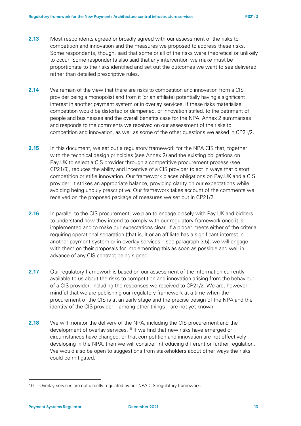- **2.13** Most respondents agreed or broadly agreed with our assessment of the risks to competition and innovation and the measures we proposed to address these risks. Some respondents, though, said that some or all of the risks were theoretical or unlikely to occur. Some respondents also said that any intervention we make must be proportionate to the risks identified and set out the outcomes we want to see delivered rather than detailed prescriptive rules.
- **2.14** We remain of the view that there are risks to competition and innovation from a CIS provider being a monopolist and from it (or an affiliate) potentially having a significant interest in another payment system or in overlay services. If these risks materialise, competition would be distorted or dampened, or innovation stifled, to the detriment of people and businesses and the overall benefits case for the NPA. Annex 2 summarises and responds to the comments we received on our assessment of the risks to competition and innovation, as well as some of the other questions we asked in CP21/2.
- **2.15** In this document, we set out a regulatory framework for the NPA CIS that, together with the technical design principles (see Annex 2) and the existing obligations on Pay.UK to select a CIS provider through a competitive procurement process (see CP21/8), reduces the ability and incentive of a CIS provider to act in ways that distort competition or stifle innovation. Our framework places obligations on Pay.UK and a CIS provider. It strikes an appropriate balance, providing clarity on our expectations while avoiding being unduly prescriptive. Our framework takes account of the comments we received on the proposed package of measures we set out in CP21/2.
- **2.16** In parallel to the CIS procurement, we plan to engage closely with Pay.UK and bidders to understand how they intend to comply with our regulatory framework once it is implemented and to make our expectations clear. If a bidder meets either of the criteria requiring operational separation (that is, it or an affiliate has a significant interest in another payment system or in overlay services – see paragraph 3.5), we will engage with them on their proposals for implementing this as soon as possible and well in advance of any CIS contract being signed.
- **2.17** Our regulatory framework is based on our assessment of the information currently available to us about the risks to competition and innovation arising from the behaviour of a CIS provider, including the responses we received to CP21/2. We are, however, mindful that we are publishing our regulatory framework at a time when the procurement of the CIS is at an early stage and the precise design of the NPA and the identity of the CIS provider – among other things – are not yet known.
- **2.18** We will monitor the delivery of the NPA, including the CIS procurement and the development of overlay services.<sup>[10](#page-12-0)</sup> If we find that new risks have emerged or circumstances have changed, or that competition and innovation are not effectively developing in the NPA, then we will consider introducing different or further regulation. We would also be open to suggestions from stakeholders about other ways the risks could be mitigated.

<span id="page-12-0"></span><sup>10</sup> Overlay services are not directly regulated by our NPA CIS regulatory framework.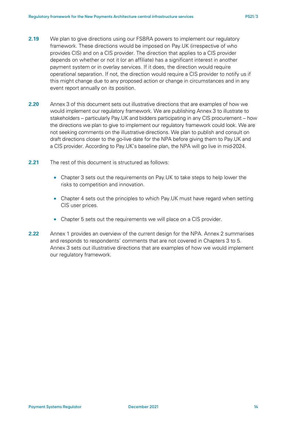- **2.19** We plan to give directions using our FSBRA powers to implement our regulatory framework. These directions would be imposed on Pay.UK (irrespective of who provides CIS) and on a CIS provider. The direction that applies to a CIS provider depends on whether or not it (or an affiliate) has a significant interest in another payment system or in overlay services. If it does, the direction would require operational separation. If not, the direction would require a CIS provider to notify us if this might change due to any proposed action or change in circumstances and in any event report annually on its position.
- **2.20** Annex 3 of this document sets out illustrative directions that are examples of how we would implement our regulatory framework. We are publishing Annex 3 to illustrate to stakeholders – particularly Pay.UK and bidders participating in any CIS procurement – how the directions we plan to give to implement our regulatory framework could look. We are not seeking comments on the illustrative directions. We plan to publish and consult on draft directions closer to the go-live date for the NPA before giving them to Pay.UK and a CIS provider. According to Pay.UK's baseline plan, the NPA will go live in mid-2024.
- **2.21** The rest of this document is structured as follows:
	- Chapter [3](#page-14-0) sets out the requirements on Pay.UK to take steps to help lower the risks to competition and innovation.
	- Chapter 4 sets out the principles to which Pay. UK must have regard when setting CIS user prices.
	- Chapter 5 sets out the requirements we will place on a CIS provider.
- **2.22** Annex 1 provides an overview of the current design for the NPA. Annex 2 summarises and responds to respondents' comments that are not covered in Chapters [3](#page-14-0) to [5.](#page-39-0) Annex 3 sets out illustrative directions that are examples of how we would implement our regulatory framework.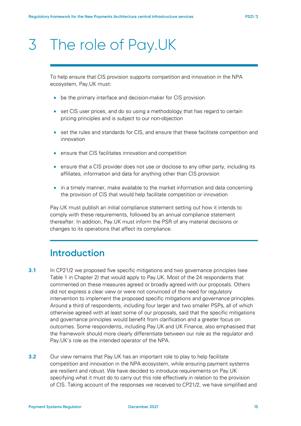# <span id="page-14-0"></span>3 The role of Pay.UK

To help ensure that CIS provision supports competition and innovation in the NPA ecosystem, Pay.UK must:

- be the primary interface and decision-maker for CIS provision
- set CIS user prices, and do so using a methodology that has regard to certain pricing principles and is subject to our non-objection
- set the rules and standards for CIS, and ensure that these facilitate competition and innovation
- ensure that CIS facilitates innovation and competition
- ensure that a CIS provider does not use or disclose to any other party, including its affiliates, information and data for anything other than CIS provision
- in a timely manner, make available to the market information and data concerning the provision of CIS that would help facilitate competition or innovation

Pay.UK must publish an initial compliance statement setting out how it intends to comply with these requirements, followed by an annual compliance statement thereafter. In addition, Pay.UK must inform the PSR of any material decisions or changes to its operations that affect its compliance.

## **Introduction**

- **3.1** In CP21/2 we proposed five specific mitigations and two governance principles (see [Table 1](#page-11-0) in Chapter [2\)](#page-8-2) that would apply to Pay.UK. Most of the 24 respondents that commented on these measures agreed or broadly agreed with our proposals. Others did not express a clear view or were not convinced of the need for regulatory intervention to implement the proposed specific mitigations and governance principles. Around a third of respondents, including four larger and two smaller PSPs, all of which otherwise agreed with at least some of our proposals, said that the specific mitigations and governance principles would benefit from clarification and a greater focus on outcomes. Some respondents, including Pay.UK and UK Finance, also emphasised that the framework should more clearly differentiate between our role as the regulator and Pay.UK's role as the intended operator of the NPA.
- **3.2** Our view remains that Pay.UK has an important role to play to help facilitate competition and innovation in the NPA ecosystem, while ensuring payment systems are resilient and robust. We have decided to introduce requirements on Pay.UK specifying what it must do to carry out this role effectively in relation to the provision of CIS. Taking account of the responses we received to CP21/2, we have simplified and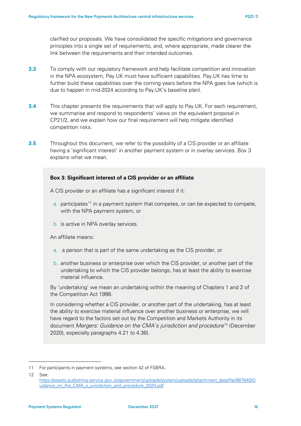clarified our proposals. We have consolidated the specific mitigations and governance principles into a single set of requirements, and, where appropriate, made clearer the link between the requirements and their intended outcomes.

- **3.3** To comply with our regulatory framework and help facilitate competition and innovation in the NPA ecosystem, Pay.UK must have sufficient capabilities. Pay.UK has time to further build these capabilities over the coming years before the NPA goes live (which is due to happen in mid-2024 according to Pay.UK's baseline plan).
- **3.4** This chapter presents the requirements that will apply to Pay.UK. For each requirement, we summarise and respond to respondents' views on the equivalent proposal in CP21/2, and we explain how our final requirement will help mitigate identified competition risks.
- **3.5** Throughout this document, we refer to the possibility of a CIS provider or an affiliate having a 'significant interest' in another payment system or in overlay services. Box 3 explains what we mean.

### **Box 3: Significant interest of a CIS provider or an affiliate**

A CIS provider or an affiliate has a significant interest if it:

- a. participates<sup>[11](#page-15-0)</sup> in a payment system that competes, or can be expected to compete, with the NPA payment system, or
- b. is active in NPA overlay services.

An affiliate means:

- a. a person that is part of the same undertaking as the CIS provider, or
- b. another business or enterprise over which the CIS provider, or another part of the undertaking to which the CIS provider belongs, has at least the ability to exercise material influence.

By 'undertaking' we mean an undertaking within the meaning of Chapters 1 and 2 of the Competition Act 1998.

In considering whether a CIS provider, or another part of the undertaking, has at least the ability to exercise material influence over another business or enterprise, we will have regard to the factors set out by the Competition and Markets Authority in its document *Mergers: Guidance on the CMA's jurisdiction and procedure*[12](#page-15-1) (December 2020), especially paragraphs 4.21 to 4.36).

<span id="page-15-0"></span><sup>11</sup> For participants in payment systems, see section 42 of FSBRA.

<span id="page-15-1"></span><sup>12</sup> See:

[https://assets.publishing.service.gov.uk/government/uploads/system/uploads/attachment\\_data/file/987640/G](https://assets.publishing.service.gov.uk/government/uploads/system/uploads/attachment_data/file/987640/Guidance_on_the_CMA_s_jurisdiction_and_procedure_2020.pdf) [uidance\\_on\\_the\\_CMA\\_s\\_jurisdiction\\_and\\_procedure\\_2020.pdf](https://assets.publishing.service.gov.uk/government/uploads/system/uploads/attachment_data/file/987640/Guidance_on_the_CMA_s_jurisdiction_and_procedure_2020.pdf)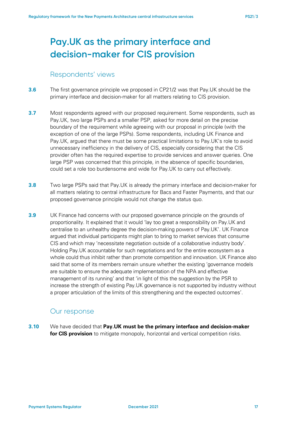# **Pay.UK as the primary interface and decision-maker for CIS provision**

## Respondents' views

- **3.6** The first governance principle we proposed in CP21/2 was that Pay.UK should be the primary interface and decision-maker for all matters relating to CIS provision.
- **3.7** Most respondents agreed with our proposed requirement. Some respondents, such as Pay.UK, two large PSPs and a smaller PSP, asked for more detail on the precise boundary of the requirement while agreeing with our proposal in principle (with the exception of one of the large PSPs). Some respondents, including UK Finance and Pay.UK, argued that there must be some practical limitations to Pay.UK's role to avoid unnecessary inefficiency in the delivery of CIS, especially considering that the CIS provider often has the required expertise to provide services and answer queries. One large PSP was concerned that this principle, in the absence of specific boundaries, could set a role too burdensome and wide for Pay.UK to carry out effectively.
- **3.8** Two large PSPs said that Pay.UK is already the primary interface and decision-maker for all matters relating to central infrastructure for Bacs and Faster Payments, and that our proposed governance principle would not change the status quo.
- **3.9** UK Finance had concerns with our proposed governance principle on the grounds of proportionality. It explained that it would 'lay too great a responsibility on Pay.UK and centralise to an unhealthy degree the decision-making powers of Pay.UK'. UK Finance argued that individual participants might plan to bring to market services that consume CIS and which may 'necessitate negotiation outside of a collaborative industry body'. Holding Pay.UK accountable for such negotiations and for the entire ecosystem as a whole could thus inhibit rather than promote competition and innovation. UK Finance also said that some of its members remain unsure whether the existing 'governance models are suitable to ensure the adequate implementation of the NPA and effective management of its running' and that 'in light of this the suggestion by the PSR to increase the strength of existing Pay.UK governance is not supported by industry without a proper articulation of the limits of this strengthening and the expected outcomes'.

## Our response

**3.10** We have decided that **Pay.UK must be the primary interface and decision-maker for CIS provision** to mitigate monopoly, horizontal and vertical competition risks.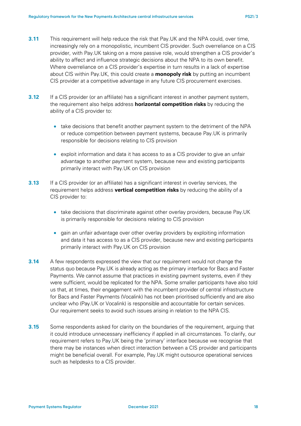- <span id="page-17-0"></span>**3.11** This requirement will help reduce the risk that Pay.UK and the NPA could, over time, increasingly rely on a monopolistic, incumbent CIS provider. Such overreliance on a CIS provider, with Pay.UK taking on a more passive role, would strengthen a CIS provider's ability to affect and influence strategic decisions about the NPA to its own benefit. Where overreliance on a CIS provider's expertise in turn results in a lack of expertise about CIS within Pay.UK, this could create a **monopoly risk** by putting an incumbent CIS provider at a competitive advantage in any future CIS procurement exercises.
- <span id="page-17-1"></span>**3.12** If a CIS provider (or an affiliate) has a significant interest in another payment system, the requirement also helps address **horizontal competition risks** by reducing the ability of a CIS provider to:
	- take decisions that benefit another payment system to the detriment of the NPA or reduce competition between payment systems, because Pay.UK is primarily responsible for decisions relating to CIS provision
	- exploit information and data it has access to as a CIS provider to give an unfair advantage to another payment system, because new and existing participants primarily interact with Pay.UK on CIS provision
- <span id="page-17-2"></span>**3.13** If a CIS provider (or an affiliate) has a significant interest in overlay services, the requirement helps address **vertical competition risks** by reducing the ability of a CIS provider to:
	- take decisions that discriminate against other overlay providers, because Pay.UK is primarily responsible for decisions relating to CIS provision
	- gain an unfair advantage over other overlay providers by exploiting information and data it has access to as a CIS provider, because new and existing participants primarily interact with Pay.UK on CIS provision
- **3.14** A few respondents expressed the view that our requirement would not change the status quo because Pay.UK is already acting as the primary interface for Bacs and Faster Payments. We cannot assume that practices in existing payment systems, even if they were sufficient, would be replicated for the NPA. Some smaller participants have also told us that, at times, their engagement with the incumbent provider of central infrastructure for Bacs and Faster Payments (Vocalink) has not been prioritised sufficiently and are also unclear who (Pay.UK or Vocalink) is responsible and accountable for certain services. Our requirement seeks to avoid such issues arising in relation to the NPA CIS.
- **3.15** Some respondents asked for clarity on the boundaries of the requirement, arguing that it could introduce unnecessary inefficiency if applied in all circumstances. To clarify, our requirement refers to Pay.UK being the 'primary' interface because we recognise that there may be instances when direct interaction between a CIS provider and participants might be beneficial overall. For example, Pay.UK might outsource operational services such as helpdesks to a CIS provider.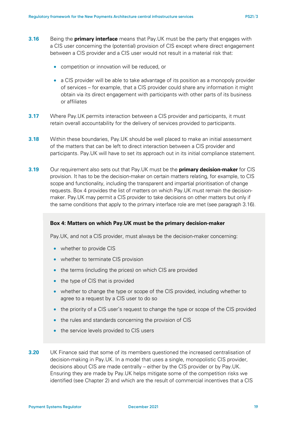- <span id="page-18-0"></span>**3.16** Being the **primary interface** means that Pay.UK must be the party that engages with a CIS user concerning the (potential) provision of CIS except where direct engagement between a CIS provider and a CIS user would not result in a material risk that:
	- competition or innovation will be reduced, or
	- a CIS provider will be able to take advantage of its position as a monopoly provider of services – for example, that a CIS provider could share any information it might obtain via its direct engagement with participants with other parts of its business or affiliates
- **3.17** Where Pay.UK permits interaction between a CIS provider and participants, it must retain overall accountability for the delivery of services provided to participants.
- **3.18** Within these boundaries, Pay.UK should be well placed to make an initial assessment of the matters that can be left to direct interaction between a CIS provider and participants. Pay.UK will have to set its approach out in its initial compliance statement.
- **3.19** Our requirement also sets out that Pay.UK must be the **primary decision-maker** for CIS provision. It has to be the decision-maker on certain matters relating, for example, to CIS scope and functionality, including the transparent and impartial prioritisation of change requests. Box 4 provides the list of matters on which Pay.UK must remain the decisionmaker. Pay.UK may permit a CIS provider to take decisions on other matters but only if the same conditions that apply to the primary interface role are met (see paragraph [3.16\)](#page-18-0).

#### **Box 4: Matters on which Pay.UK must be the primary decision-maker**

Pay.UK, and not a CIS provider, must always be the decision-maker concerning:

- whether to provide CIS
- whether to terminate CIS provision
- the terms (including the prices) on which CIS are provided
- the type of CIS that is provided
- whether to change the type or scope of the CIS provided, including whether to agree to a request by a CIS user to do so
- the priority of a CIS user's request to change the type or scope of the CIS provided
- the rules and standards concerning the provision of CIS
- the service levels provided to CIS users
- **3.20** UK Finance said that some of its members questioned the increased centralisation of decision-making in Pay.UK. In a model that uses a single, monopolistic CIS provider, decisions about CIS are made centrally – either by the CIS provider or by Pay.UK. Ensuring they are made by Pay.UK helps mitigate some of the competition risks we identified (see Chapter [2\)](#page-8-2) and which are the result of commercial incentives that a CIS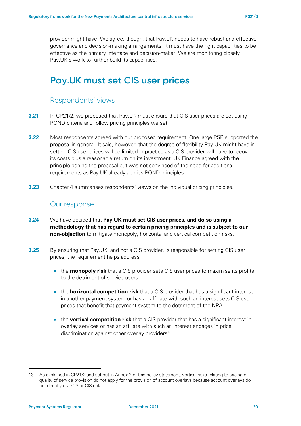provider might have. We agree, though, that Pay.UK needs to have robust and effective governance and decision-making arrangements. It must have the right capabilities to be effective as the primary interface and decision-maker. We are monitoring closely Pay.UK's work to further build its capabilities.

## **Pay.UK must set CIS user prices**

### Respondents' views

- **3.21** In CP21/2, we proposed that Pay.UK must ensure that CIS user prices are set using POND criteria and follow pricing principles we set.
- **3.22** Most respondents agreed with our proposed requirement. One large PSP supported the proposal in general. It said, however, that the degree of flexibility Pay.UK might have in setting CIS user prices will be limited in practice as a CIS provider will have to recover its costs plus a reasonable return on its investment. UK Finance agreed with the principle behind the proposal but was not convinced of the need for additional requirements as Pay.UK already applies POND principles.
- **3.23** Chapter 4 summarises respondents' views on the individual pricing principles.

### Our response

- **3.24** We have decided that **Pay.UK must set CIS user prices, and do so using a methodology that has regard to certain pricing principles and is subject to our non-objection** to mitigate monopoly, horizontal and vertical competition risks.
- <span id="page-19-1"></span>**3.25** By ensuring that Pay.UK, and not a CIS provider, is responsible for setting CIS user prices, the requirement helps address:
	- the **monopoly risk** that a CIS provider sets CIS user prices to maximise its profits to the detriment of service-users
	- the **horizontal competition risk** that a CIS provider that has a significant interest in another payment system or has an affiliate with such an interest sets CIS user prices that benefit that payment system to the detriment of the NPA
	- the **vertical competition risk** that a CIS provider that has a significant interest in overlay services or has an affiliate with such an interest engages in price discrimination against other overlay providers $^{13}$  $^{13}$  $^{13}$

<span id="page-19-0"></span><sup>13</sup> As explained in CP21/2 and set out in Annex 2 of this policy statement, vertical risks relating to pricing or quality of service provision do not apply for the provision of account overlays because account overlays do not directly use CIS or CIS data.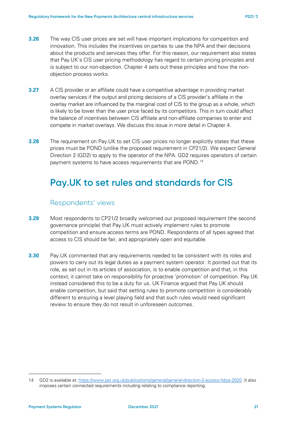- **3.26** The way CIS user prices are set will have important implications for competition and innovation. This includes the incentives on parties to use the NPA and their decisions about the products and services they offer. For this reason, our requirement also states that Pay.UK's CIS user pricing methodology has regard to certain pricing principles and is subject to our non-objection. Chapter 4 sets out these principles and how the nonobjection process works.
- **3.27** A CIS provider or an affiliate could have a competitive advantage in providing market overlay services if the output and pricing decisions of a CIS provider's affiliate in the overlay market are influenced by the marginal cost of CIS to the group as a whole, which is likely to be lower than the user price faced by its competitors. This in turn could affect the balance of incentives between CIS affiliate and non-affiliate companies to enter and compete in market overlays. We discuss this issue in more detail in Chapte[r 4.](#page-28-0)
- **3.28** The requirement on Pay.UK to set CIS user prices no longer explicitly states that these prices must be POND (unlike the proposed requirement in CP21/2). We expect General Direction 2 (GD2) to apply to the operator of the NPA. GD2 requires operators of certain payment systems to have access requirements that are POND.<sup>[14](#page-20-0)</sup>

## **Pay.UK to set rules and standards for CIS**

### Respondents' views

- **3.29** Most respondents to CP21/2 broadly welcomed our proposed requirement (the second governance principle) that Pay.UK must actively implement rules to promote competition and ensure access terms are POND. Respondents of all types agreed that access to CIS should be fair, and appropriately open and equitable.
- **3.30** Pay.UK commented that any requirements needed to be consistent with its roles and powers to carry out its legal duties as a payment system operator. It pointed out that its role, as set out in its articles of association, is to enable competition and that, in this context, it cannot take on responsibility for proactive 'promotion' of competition. Pay.UK instead considered this to be a duty for us. UK Finance argued that Pay.UK should enable competition, but said that setting rules to promote competition is considerably different to ensuring a level playing field and that such rules would need significant review to ensure they do not result in unforeseen outcomes.

<span id="page-20-0"></span><sup>14</sup> GD2 is available at[: https://www.psr.org.uk/publications/general/general-direction-2-access-fsbra-2020.](https://www.psr.org.uk/publications/general/general-direction-2-access-fsbra-2020) It also imposes certain connected requirements including relating to compliance reporting.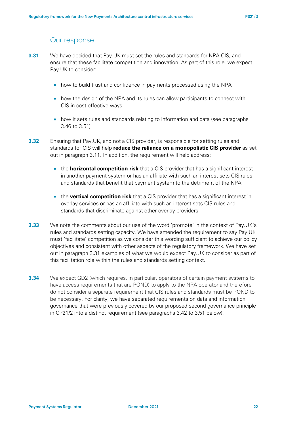## Our response

- <span id="page-21-0"></span>**3.31** We have decided that Pay.UK must set the rules and standards for NPA CIS, and ensure that these facilitate competition and innovation. As part of this role, we expect Pay.UK to consider:
	- how to build trust and confidence in payments processed using the NPA
	- how the design of the NPA and its rules can allow participants to connect with CIS in cost-effective ways
	- how it sets rules and standards relating to information and data (see paragraphs) [3.46](#page-24-0) to [3.51\)](#page-25-0)
- <span id="page-21-1"></span>**3.32** Ensuring that Pay.UK, and not a CIS provider, is responsible for setting rules and standards for CIS will help **reduce the reliance on a monopolistic CIS provider** as set out in paragraph [3.11.](#page-17-0) In addition, the requirement will help address:
	- the **horizontal competition risk** that a CIS provider that has a significant interest in another payment system or has an affiliate with such an interest sets CIS rules and standards that benefit that payment system to the detriment of the NPA
	- the **vertical competition risk** that a CIS provider that has a significant interest in overlay services or has an affiliate with such an interest sets CIS rules and standards that discriminate against other overlay providers
- **3.33** We note the comments about our use of the word 'promote' in the context of Pay.UK's rules and standards setting capacity. We have amended the requirement to say Pay.UK must 'facilitate' competition as we consider this wording sufficient to achieve our policy objectives and consistent with other aspects of the regulatory framework. We have set out in paragraph [3.31](#page-21-0) examples of what we would expect Pay.UK to consider as part of this facilitation role within the rules and standards setting context.
- **3.34** We expect GD2 (which requires, in particular, operators of certain payment systems to have access requirements that are POND) to apply to the NPA operator and therefore do not consider a separate requirement that CIS rules and standards must be POND to be necessary. For clarity, we have separated requirements on data and information governance that were previously covered by our proposed second governance principle in CP21/2 into a distinct requirement (see paragraphs [3.42](#page-23-0) to [3.51](#page-25-0) below).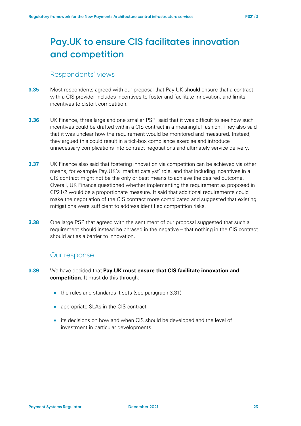# **Pay.UK to ensure CIS facilitates innovation and competition**

## Respondents' views

- **3.35** Most respondents agreed with our proposal that Pay.UK should ensure that a contract with a CIS provider includes incentives to foster and facilitate innovation, and limits incentives to distort competition.
- **3.36** UK Finance, three large and one smaller PSP, said that it was difficult to see how such incentives could be drafted within a CIS contract in a meaningful fashion. They also said that it was unclear how the requirement would be monitored and measured. Instead, they argued this could result in a tick-box compliance exercise and introduce unnecessary complications into contract negotiations and ultimately service delivery.
- **3.37** UK Finance also said that fostering innovation via competition can be achieved via other means, for example Pay.UK's 'market catalyst' role, and that including incentives in a CIS contract might not be the only or best means to achieve the desired outcome. Overall, UK Finance questioned whether implementing the requirement as proposed in CP21/2 would be a proportionate measure. It said that additional requirements could make the negotiation of the CIS contract more complicated and suggested that existing mitigations were sufficient to address identified competition risks.
- **3.38** One large PSP that agreed with the sentiment of our proposal suggested that such a requirement should instead be phrased in the negative – that nothing in the CIS contract should act as a barrier to innovation.

## Our response

- **3.39** We have decided that **Pay.UK must ensure that CIS facilitate innovation and competition**. It must do this through:
	- the rules and standards it sets (see paragraph [3.31\)](#page-21-0)
	- appropriate SLAs in the CIS contract
	- its decisions on how and when CIS should be developed and the level of investment in particular developments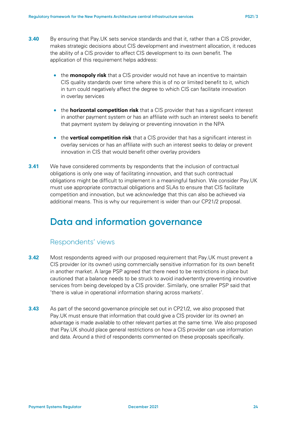- <span id="page-23-1"></span>**3.40** By ensuring that Pay.UK sets service standards and that it, rather than a CIS provider, makes strategic decisions about CIS development and investment allocation, it reduces the ability of a CIS provider to affect CIS development to its own benefit. The application of this requirement helps address:
	- the **monopoly risk** that a CIS provider would not have an incentive to maintain CIS quality standards over time where this is of no or limited benefit to it, which in turn could negatively affect the degree to which CIS can facilitate innovation in overlay services
	- the **horizontal competition risk** that a CIS provider that has a significant interest in another payment system or has an affiliate with such an interest seeks to benefit that payment system by delaying or preventing innovation in the NPA
	- the **vertical competition risk** that a CIS provider that has a significant interest in overlay services or has an affiliate with such an interest seeks to delay or prevent innovation in CIS that would benefit other overlay providers
- **3.41** We have considered comments by respondents that the inclusion of contractual obligations is only one way of facilitating innovation, and that such contractual obligations might be difficult to implement in a meaningful fashion. We consider Pay.UK must use appropriate contractual obligations and SLAs to ensure that CIS facilitate competition and innovation, but we acknowledge that this can also be achieved via additional means. This is why our requirement is wider than our CP21/2 proposal.

# **Data and information governance**

## Respondents' views

- <span id="page-23-0"></span>**3.42** Most respondents agreed with our proposed requirement that Pay.UK must prevent a CIS provider (or its owner) using commercially sensitive information for its own benefit in another market. A large PSP agreed that there need to be restrictions in place but cautioned that a balance needs to be struck to avoid inadvertently preventing innovative services from being developed by a CIS provider. Similarly, one smaller PSP said that 'there is value in operational information sharing across markets'.
- **3.43** As part of the second governance principle set out in CP21/2, we also proposed that Pay.UK must ensure that information that could give a CIS provider (or its owner) an advantage is made available to other relevant parties at the same time. We also proposed that Pay.UK should place general restrictions on how a CIS provider can use information and data. Around a third of respondents commented on these proposals specifically.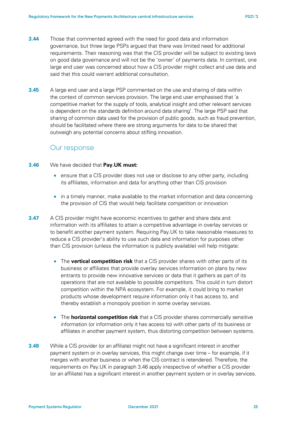- **3.44** Those that commented agreed with the need for good data and information governance, but three large PSPs argued that there was limited need for additional requirements. Their reasoning was that the CIS provider will be subject to existing laws on good data governance and will not be the 'owner' of payments data. In contrast, one large end user was concerned about how a CIS provider might collect and use data and said that this could warrant additional consultation.
- **3.45** A large end user and a large PSP commented on the use and sharing of data within the context of common services provision. The large end user emphasised that 'a competitive market for the supply of tools, analytical insight and other relevant services is dependent on the standards definition around data sharing'. The large PSP said that sharing of common data used for the provision of public goods, such as fraud prevention, should be facilitated where there are strong arguments for data to be shared that outweigh any potential concerns about stifling innovation.

### Our response

### <span id="page-24-0"></span>**3.46** We have decided that **Pay.UK must:**

- ensure that a CIS provider does not use or disclose to any other party, including its affiliates, information and data for anything other than CIS provision
- in a timely manner, make available to the market information and data concerning the provision of CIS that would help facilitate competition or innovation
- <span id="page-24-1"></span>**3.47** A CIS provider might have economic incentives to gather and share data and information with its affiliates to attain a competitive advantage in overlay services or to benefit another payment system. Requiring Pay.UK to take reasonable measures to reduce a CIS provider's ability to use such data and information for purposes other than CIS provision (unless the information is publicly available) will help mitigate:
	- The **vertical competition risk** that a CIS provider shares with other parts of its business or affiliates that provide overlay services information on plans by new entrants to provide new innovative services or data that it gathers as part of its operations that are not available to possible competitors. This could in turn distort competition within the NPA ecosystem. For example, it could bring to market products whose development require information only it has access to, and thereby establish a monopoly position in some overlay services.
	- The **horizontal competition risk** that a CIS provider shares commercially sensitive information (or information only it has access to) with other parts of its business or affiliates in another payment system, thus distorting competition between systems.
- **3.48** While a CIS provider (or an affiliate) might not have a significant interest in another payment system or in overlay services, this might change over time – for example, if it merges with another business or when the CIS contract is retendered. Therefore, the requirements on Pay.UK in paragraph [3.46](#page-24-0) apply irrespective of whether a CIS provider (or an affiliate) has a significant interest in another payment system or in overlay services.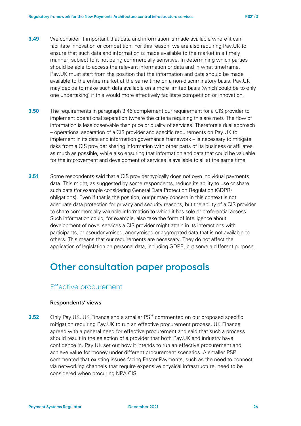- **3.49** We consider it important that data and information is made available where it can facilitate innovation or competition. For this reason, we are also requiring Pay.UK to ensure that such data and information is made available to the market in a timely manner, subject to it not being commercially sensitive. In determining which parties should be able to access the relevant information or data and in what timeframe, Pay.UK must start from the position that the information and data should be made available to the entire market at the same time on a non-discriminatory basis. Pay.UK may decide to make such data available on a more limited basis (which could be to only one undertaking) if this would more effectively facilitate competition or innovation.
- **3.50** The requirements in paragraph [3.46](#page-24-0) complement our requirement for a CIS provider to implement operational separation (where the criteria requiring this are met). The flow of information is less observable than price or quality of services. Therefore a dual approach – operational separation of a CIS provider and specific requirements on Pay.UK to implement in its data and information governance framework – is necessary to mitigate risks from a CIS provider sharing information with other parts of its business or affiliates as much as possible, while also ensuring that information and data that could be valuable for the improvement and development of services is available to all at the same time.
- <span id="page-25-0"></span>**3.51** Some respondents said that a CIS provider typically does not own individual payments data. This might, as suggested by some respondents, reduce its ability to use or share such data (for example considering General Data Protection Regulation (GDPR) obligations). Even if that is the position, our primary concern in this context is not adequate data protection for privacy and security reasons, but the ability of a CIS provider to share commercially valuable information to which it has sole or preferential access. Such information could, for example, also take the form of intelligence about development of novel services a CIS provider might attain in its interactions with participants, or pseudonymised, anonymised or aggregated data that is not available to others. This means that our requirements are necessary. They do not affect the application of legislation on personal data, including GDPR, but serve a different purpose.

# **Other consultation paper proposals**

## Effective procurement

#### **Respondents' views**

**3.52** Only Pay.UK, UK Finance and a smaller PSP commented on our proposed specific mitigation requiring Pay.UK to run an effective procurement process. UK Finance agreed with a general need for effective procurement and said that such a process should result in the selection of a provider that both Pay.UK and industry have confidence in. Pay.UK set out how it intends to run an effective procurement and achieve value for money under different procurement scenarios. A smaller PSP commented that existing issues facing Faster Payments, such as the need to connect via networking channels that require expensive physical infrastructure, need to be considered when procuring NPA CIS.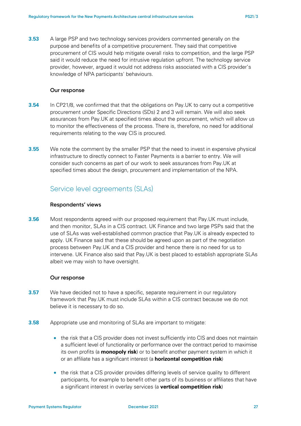**3.53** A large PSP and two technology services providers commented generally on the purpose and benefits of a competitive procurement. They said that competitive procurement of CIS would help mitigate overall risks to competition, and the large PSP said it would reduce the need for intrusive regulation upfront. The technology service provider, however, argued it would not address risks associated with a CIS provider's knowledge of NPA participants' behaviours.

### **Our response**

- <span id="page-26-0"></span>**3.54** In CP21/8, we confirmed that that the obligations on Pay.UK to carry out a competitive procurement under Specific Directions (SDs) 2 and 3 will remain. We will also seek assurances from Pay.UK at specified times about the procurement, which will allow us to monitor the effectiveness of the process. There is, therefore, no need for additional requirements relating to the way CIS is procured.
- **3.55** We note the comment by the smaller PSP that the need to invest in expensive physical infrastructure to directly connect to Faster Payments is a barrier to entry. We will consider such concerns as part of our work to seek assurances from Pay.UK at specified times about the design, procurement and implementation of the NPA.

## Service level agreements (SLAs)

### **Respondents' views**

**3.56** Most respondents agreed with our proposed requirement that Pay.UK must include, and then monitor, SLAs in a CIS contract. UK Finance and two large PSPs said that the use of SLAs was well-established common practice that Pay.UK is already expected to apply. UK Finance said that these should be agreed upon as part of the negotiation process between Pay.UK and a CIS provider and hence there is no need for us to intervene. UK Finance also said that Pay.UK is best placed to establish appropriate SLAs albeit we may wish to have oversight.

#### **Our response**

- **3.57** We have decided not to have a specific, separate requirement in our regulatory framework that Pay.UK must include SLAs within a CIS contract because we do not believe it is necessary to do so.
- **3.58** Appropriate use and monitoring of SLAs are important to mitigate:
	- the risk that a CIS provider does not invest sufficiently into CIS and does not maintain a sufficient level of functionality or performance over the contract period to maximise its own profits (a **monopoly risk**) or to benefit another payment system in which it or an affiliate has a significant interest (a **horizontal competition risk**)
	- the risk that a CIS provider provides differing levels of service quality to different participants, for example to benefit other parts of its business or affiliates that have a significant interest in overlay services (a **vertical competition risk**)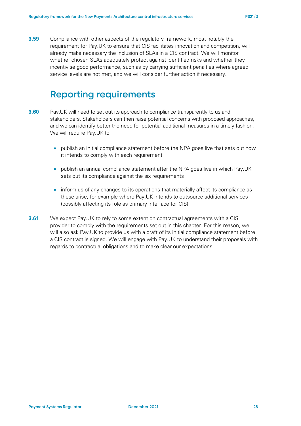**3.59** Compliance with other aspects of the regulatory framework, most notably the requirement for Pay.UK to ensure that CIS facilitates innovation and competition, will already make necessary the inclusion of SLAs in a CIS contract. We will monitor whether chosen SLAs adequately protect against identified risks and whether they incentivise good performance, such as by carrying sufficient penalties where agreed service levels are not met, and we will consider further action if necessary.

## **Reporting requirements**

- <span id="page-27-0"></span>**3.60** Pay.UK will need to set out its approach to compliance transparently to us and stakeholders. Stakeholders can then raise potential concerns with proposed approaches, and we can identify better the need for potential additional measures in a timely fashion. We will require Pay.UK to:
	- publish an initial compliance statement before the NPA goes live that sets out how it intends to comply with each requirement
	- publish an annual compliance statement after the NPA goes live in which Pay.UK sets out its compliance against the six requirements
	- inform us of any changes to its operations that materially affect its compliance as these arise, for example where Pay.UK intends to outsource additional services (possibly affecting its role as primary interface for CIS)
- **3.61** We expect Pay.UK to rely to some extent on contractual agreements with a CIS provider to comply with the requirements set out in this chapter. For this reason, we will also ask Pay.UK to provide us with a draft of its initial compliance statement before a CIS contract is signed. We will engage with Pay.UK to understand their proposals with regards to contractual obligations and to make clear our expectations.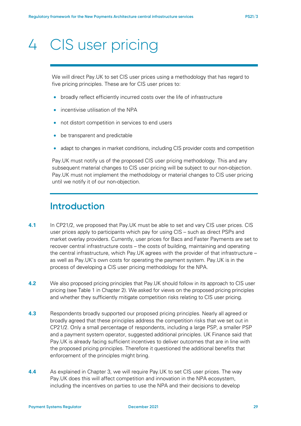# <span id="page-28-0"></span>4 CIS user pricing

We will direct Pay.UK to set CIS user prices using a methodology that has regard to five pricing principles. These are for CIS user prices to:

- broadly reflect efficiently incurred costs over the life of infrastructure
- incentivise utilisation of the NPA
- not distort competition in services to end users
- be transparent and predictable
- adapt to changes in market conditions, including CIS provider costs and competition

Pay.UK must notify us of the proposed CIS user pricing methodology. This and any subsequent material changes to CIS user pricing will be subject to our non-objection. Pay.UK must not implement the methodology or material changes to CIS user pricing until we notify it of our non-objection.

## **Introduction**

- **4.1** In CP21/2, we proposed that Pay.UK must be able to set and vary CIS user prices. CIS user prices apply to participants which pay for using CIS – such as direct PSPs and market overlay providers. Currently, user prices for Bacs and Faster Payments are set to recover central infrastructure costs – the costs of building, maintaining and operating the central infrastructure, which Pay.UK agrees with the provider of that infrastructure – as well as Pay.UK's own costs for operating the payment system. Pay.UK is in the process of developing a CIS user pricing methodology for the NPA.
- **4.2** We also proposed pricing principles that Pay.UK should follow in its approach to CIS user pricing (see [Table 1](#page-11-0) in Chapter [2\)](#page-8-2). We asked for views on the proposed pricing principles and whether they sufficiently mitigate competition risks relating to CIS user pricing.
- **4.3** Respondents broadly supported our proposed pricing principles. Nearly all agreed or broadly agreed that these principles address the competition risks that we set out in CP21/2. Only a small percentage of respondents, including a large PSP, a smaller PSP and a payment system operator, suggested additional principles. UK Finance said that Pay.UK is already facing sufficient incentives to deliver outcomes that are in line with the proposed pricing principles. Therefore it questioned the additional benefits that enforcement of the principles might bring.
- <span id="page-28-1"></span>**4.4** As explained in Chapter [3,](#page-14-0) we will require Pay.UK to set CIS user prices. The way Pay.UK does this will affect competition and innovation in the NPA ecosystem, including the incentives on parties to use the NPA and their decisions to develop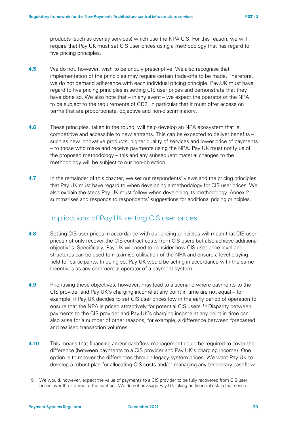products (such as overlay services) which use the NPA CIS. For this reason, we will require that Pay.UK must set CIS user prices using a methodology that has regard to five pricing principles.

- <span id="page-29-1"></span>**4.5** We do not, however, wish to be unduly prescriptive. We also recognise that implementation of the principles may require certain trade-offs to be made. Therefore, we do not demand adherence with each individual pricing principle. Pay.UK must have regard to five pricing principles in setting CIS user prices and demonstrate that they have done so. We also note that – in any event – we expect the operator of the NPA to be subject to the requirements of GD2, in particular that it must offer access on terms that are proportionate, objective and non-discriminatory.
- **4.6** These principles, taken in the round, will help develop an NPA ecosystem that is competitive and accessible to new entrants. This can be expected to deliver benefits – such as new innovative products, higher quality of services and lower price of payments – to those who make and receive payments using the NPA. Pay.UK must notify us of the proposed methodology – this and any subsequent material changes to the methodology will be subject to our non-objection.
- **4.7** In the remainder of this chapter, we set out respondents' views and the pricing principles that Pay.UK must have regard to when developing a methodology for CIS user prices. We also explain the steps Pay.UK must follow when developing its methodology. Annex 2 summarises and responds to respondents' suggestions for additional pricing principles.

## Implications of Pay.UK setting CIS user prices

- **4.8** Setting CIS user prices in accordance with our pricing principles will mean that CIS user prices not only recover the CIS contract costs from CIS users but also achieve additional objectives. Specifically, Pay.UK will need to consider how CIS user price level and structures can be used to maximise utilisation of the NPA and ensure a level playing field for participants. In doing so, Pay.UK would be acting in accordance with the same incentives as any commercial operator of a payment system.
- **4.9** Prioritising these objectives, however, may lead to a scenario where payments to the CIS provider and Pay.UK's charging income at any point in time are not equal – for example, if Pay.UK decides to set CIS user prices low in the early period of operation to ensure that the NPA is priced attractively for potential CIS users.<sup>[15](#page-29-0)</sup> Disparity between payments to the CIS provider and Pay.UK's charging income at any point in time can also arise for a number of other reasons, for example, a difference between forecasted and realised transaction volumes.
- **4.10** This means that financing and/or cashflow management could be required to cover the difference (between payments to a CIS provider and Pay.UK's charging income). One option is to recover the differences through legacy system prices. We want Pay.UK to develop a robust plan for allocating CIS costs and/or managing any temporary cashflow

<span id="page-29-0"></span><sup>15</sup> We would, however, expect the value of payments to a CIS provider to be fully recovered from CIS user prices over the lifetime of the contract. We do not envisage Pay.UK taking on financial risk in that sense.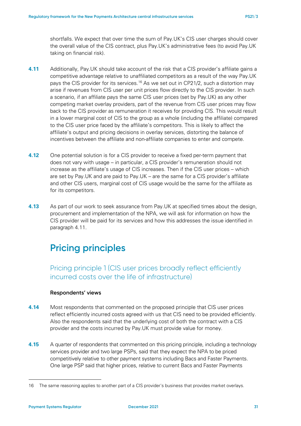shortfalls. We expect that over time the sum of Pay.UK's CIS user charges should cover the overall value of the CIS contract, plus Pay.UK's administrative fees (to avoid Pay.UK taking on financial risk).

- <span id="page-30-0"></span>**4.11** Additionally, Pay.UK should take account of the risk that a CIS provider's affiliate gains a competitive advantage relative to unaffiliated competitors as a result of the way Pay.UK pays the CIS provider for its services.[16](#page-30-1) As we set out in CP21/2, such a distortion may arise if revenues from CIS user per unit prices flow directly to the CIS provider. In such a scenario, if an affiliate pays the same CIS user prices (set by Pay.UK) as any other competing market overlay providers, part of the revenue from CIS user prices may flow back to the CIS provider as remuneration it receives for providing CIS. This would result in a lower marginal cost of CIS to the group as a whole (including the affiliate) compared to the CIS user price faced by the affiliate's competitors. This is likely to affect the affiliate's output and pricing decisions in overlay services, distorting the balance of incentives between the affiliate and non-affiliate companies to enter and compete.
- **4.12** One potential solution is for a CIS provider to receive a fixed per-term payment that does not vary with usage – in particular, a CIS provider's remuneration should not increase as the affiliate's usage of CIS increases. Then if the CIS user prices – which are set by Pay.UK and are paid to Pay.UK – are the same for a CIS provider's affiliate and other CIS users, marginal cost of CIS usage would be the same for the affiliate as for its competitors.
- **4.13** As part of our work to seek assurance from Pay.UK at specified times about the design, procurement and implementation of the NPA, we will ask for information on how the CIS provider will be paid for its services and how this addresses the issue identified in paragraph [4.11.](#page-30-0)

# **Pricing principles**

Pricing principle 1 (CIS user prices broadly reflect efficiently incurred costs over the life of infrastructure)

### **Respondents' views**

- **4.14** Most respondents that commented on the proposed principle that CIS user prices reflect efficiently incurred costs agreed with us that CIS need to be provided efficiently. Also the respondents said that the underlying cost of both the contract with a CIS provider and the costs incurred by Pay.UK must provide value for money.
- **4.15** A quarter of respondents that commented on this pricing principle, including a technology services provider and two large PSPs, said that they expect the NPA to be priced competitively relative to other payment systems including Bacs and Faster Payments. One large PSP said that higher prices, relative to current Bacs and Faster Payments

<span id="page-30-1"></span><sup>16</sup> The same reasoning applies to another part of a CIS provider's business that provides market overlays.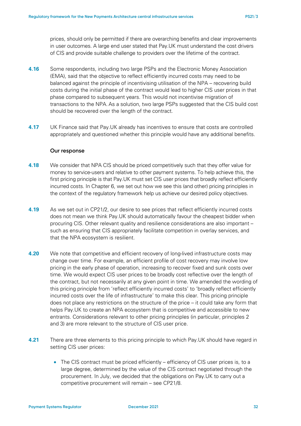prices, should only be permitted if there are overarching benefits and clear improvements in user outcomes. A large end user stated that Pay.UK must understand the cost drivers of CIS and provide suitable challenge to providers over the lifetime of the contract.

- **4.16** Some respondents, including two large PSPs and the Electronic Money Association (EMA), said that the objective to reflect efficiently incurred costs may need to be balanced against the principle of incentivising utilisation of the NPA – recovering build costs during the initial phase of the contract would lead to higher CIS user prices in that phase compared to subsequent years. This would not incentivise migration of transactions to the NPA. As a solution, two large PSPs suggested that the CIS build cost should be recovered over the length of the contract.
- **4.17** UK Finance said that Pay.UK already has incentives to ensure that costs are controlled appropriately and questioned whether this principle would have any additional benefits.

#### **Our response**

- **4.18** We consider that NPA CIS should be priced competitively such that they offer value for money to service-users and relative to other payment systems. To help achieve this, the first pricing principle is that Pay.UK must set CIS user prices that broadly reflect efficiently incurred costs. In Chapter 6, we set out how we see this (and other) pricing principles in the context of the regulatory framework help us achieve our desired policy objectives.
- **4.19** As we set out in CP21/2, our desire to see prices that reflect efficiently incurred costs does not mean we think Pay.UK should automatically favour the cheapest bidder when procuring CIS. Other relevant quality and resilience considerations are also important – such as ensuring that CIS appropriately facilitate competition in overlay services, and that the NPA ecosystem is resilient.
- **4.20** We note that competitive and efficient recovery of long-lived infrastructure costs may change over time. For example, an efficient profile of cost recovery may involve low pricing in the early phase of operation, increasing to recover fixed and sunk costs over time. We would expect CIS user prices to be broadly cost reflective over the length of the contract, but not necessarily at any given point in time. We amended the wording of this pricing principle from 'reflect efficiently incurred costs' to 'broadly reflect efficiently incurred costs over the life of infrastructure' to make this clear. This pricing principle does not place any restrictions on the structure of the price – it could take any form that helps Pay.UK to create an NPA ecosystem that is competitive and accessible to new entrants. Considerations relevant to other pricing principles (in particular, principles 2 and 3) are more relevant to the structure of CIS user price.
- **4.21** There are three elements to this pricing principle to which Pay.UK should have regard in setting CIS user prices:
	- The CIS contract must be priced efficiently efficiency of CIS user prices is, to a large degree, determined by the value of the CIS contract negotiated through the procurement. In July, we decided that the obligations on Pay.UK to carry out a competitive procurement will remain – see CP21/8.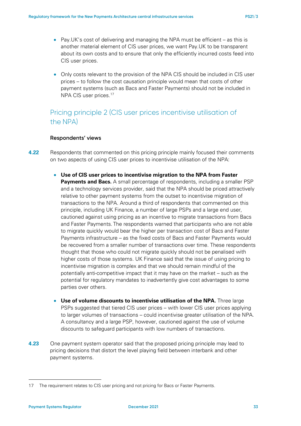- Pay.UK's cost of delivering and managing the NPA must be efficient as this is another material element of CIS user prices, we want Pay.UK to be transparent about its own costs and to ensure that only the efficiently incurred costs feed into CIS user prices.
- Only costs relevant to the provision of the NPA CIS should be included in CIS user prices – to follow the cost causation principle would mean that costs of other payment systems (such as Bacs and Faster Payments) should not be included in NPA CIS user prices.<sup>[17](#page-32-0)</sup>

## Pricing principle 2 (CIS user prices incentivise utilisation of the NPA)

### **Respondents' views**

- **4.22** Respondents that commented on this pricing principle mainly focused their comments on two aspects of using CIS user prices to incentivise utilisation of the NPA:
	- **Use of CIS user prices to incentivise migration to the NPA from Faster Payments and Bacs.** A small percentage of respondents, including a smaller PSP and a technology services provider, said that the NPA should be priced attractively relative to other payment systems from the outset to incentivise migration of transactions to the NPA. Around a third of respondents that commented on this principle, including UK Finance, a number of large PSPs and a large end user, cautioned against using pricing as an incentive to migrate transactions from Bacs and Faster Payments. The respondents warned that participants who are not able to migrate quickly would bear the higher per transaction cost of Bacs and Faster Payments infrastructure – as the fixed costs of Bacs and Faster Payments would be recovered from a smaller number of transactions over time. These respondents thought that those who could not migrate quickly should not be penalised with higher costs of those systems. UK Finance said that the issue of using pricing to incentivise migration is complex and that we should remain mindful of the potentially anti-competitive impact that it may have on the market – such as the potential for regulatory mandates to inadvertently give cost advantages to some parties over others.
	- **Use of volume discounts to incentivise utilisation of the NPA.** Three large PSPs suggested that tiered CIS user prices – with lower CIS user prices applying to larger volumes of transactions – could incentivise greater utilisation of the NPA. A consultancy and a large PSP, however, cautioned against the use of volume discounts to safeguard participants with low numbers of transactions.
- **4.23** One payment system operator said that the proposed pricing principle may lead to pricing decisions that distort the level playing field between interbank and other payment systems.

<span id="page-32-0"></span><sup>17</sup> The requirement relates to CIS user pricing and not pricing for Bacs or Faster Payments.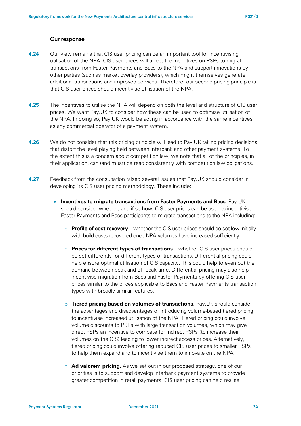#### **Our response**

- **4.24** Our view remains that CIS user pricing can be an important tool for incentivising utilisation of the NPA. CIS user prices will affect the incentives on PSPs to migrate transactions from Faster Payments and Bacs to the NPA and support innovations by other parties (such as market overlay providers), which might themselves generate additional transactions and improved services. Therefore, our second pricing principle is that CIS user prices should incentivise utilisation of the NPA.
- **4.25** The incentives to utilise the NPA will depend on both the level and structure of CIS user prices. We want Pay.UK to consider how these can be used to optimise utilisation of the NPA. In doing so, Pay.UK would be acting in accordance with the same incentives as any commercial operator of a payment system.
- **4.26** We do not consider that this pricing principle will lead to Pay.UK taking pricing decisions that distort the level playing field between interbank and other payment systems. To the extent this is a concern about competition law, we note that all of the principles, in their application, can (and must) be read consistently with competition law obligations.
- **4.27** Feedback from the consultation raised several issues that Pay.UK should consider in developing its CIS user pricing methodology. These include:
	- **Incentives to migrate transactions from Faster Payments and Bacs***.* Pay.UK should consider whether, and if so how, CIS user prices can be used to incentivise Faster Payments and Bacs participants to migrate transactions to the NPA including:
		- o **Profile of cost recovery** whether the CIS user prices should be set low initially with build costs recovered once NPA volumes have increased sufficiently.
		- o **Prices for different types of transactions**  whether CIS user prices should be set differently for different types of transactions. Differential pricing could help ensure optimal utilisation of CIS capacity. This could help to even out the demand between peak and off-peak time. Differential pricing may also help incentivise migration from Bacs and Faster Payments by offering CIS user prices similar to the prices applicable to Bacs and Faster Payments transaction types with broadly similar features.
		- o **Tiered pricing based on volumes of transactions**. Pay.UK should consider the advantages and disadvantages of introducing volume-based tiered pricing to incentivise increased utilisation of the NPA. Tiered pricing could involve volume discounts to PSPs with large transaction volumes, which may give direct PSPs an incentive to compete for indirect PSPs (to increase their volumes on the CIS) leading to lower indirect access prices. Alternatively, tiered pricing could involve offering reduced CIS user prices to smaller PSPs to help them expand and to incentivise them to innovate on the NPA.
		- o **Ad valorem pricing***.* As we set out in our proposed strategy, one of our priorities is to support and develop interbank payment systems to provide greater competition in retail payments. CIS user pricing can help realise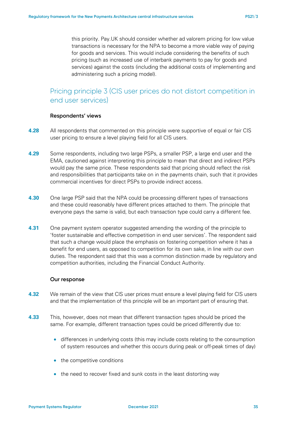this priority. Pay.UK should consider whether ad valorem pricing for low value transactions is necessary for the NPA to become a more viable way of paying for goods and services. This would include considering the benefits of such pricing (such as increased use of interbank payments to pay for goods and services) against the costs (including the additional costs of implementing and administering such a pricing model).

## Pricing principle 3 (CIS user prices do not distort competition in end user services)

#### **Respondents' views**

- **4.28** All respondents that commented on this principle were supportive of equal or fair CIS user pricing to ensure a level playing field for all CIS users.
- **4.29** Some respondents, including two large PSPs, a smaller PSP, a large end user and the EMA, cautioned against interpreting this principle to mean that direct and indirect PSPs would pay the same price. These respondents said that pricing should reflect the risk and responsibilities that participants take on in the payments chain, such that it provides commercial incentives for direct PSPs to provide indirect access.
- **4.30** One large PSP said that the NPA could be processing different types of transactions and these could reasonably have different prices attached to them. The principle that everyone pays the same is valid, but each transaction type could carry a different fee.
- **4.31** One payment system operator suggested amending the wording of the principle to 'foster sustainable and effective competition in end user services'. The respondent said that such a change would place the emphasis on fostering competition where it has a benefit for end users, as opposed to competition for its own sake, in line with our own duties. The respondent said that this was a common distinction made by regulatory and competition authorities, including the Financial Conduct Authority.

#### **Our response**

- **4.32** We remain of the view that CIS user prices must ensure a level playing field for CIS users and that the implementation of this principle will be an important part of ensuring that.
- **4.33** This, however, does not mean that different transaction types should be priced the same. For example, different transaction types could be priced differently due to:
	- differences in underlying costs (this may include costs relating to the consumption of system resources and whether this occurs during peak or off-peak times of day)
	- the competitive conditions
	- the need to recover fixed and sunk costs in the least distorting way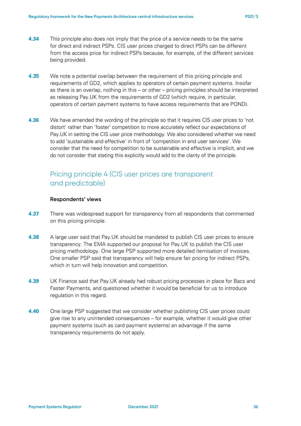- **4.34** This principle also does not imply that the price of a service needs to be the same for direct and indirect PSPs. CIS user prices charged to direct PSPs can be different from the access price for indirect PSPs because, for example, of the different services being provided.
- **4.35** We note a potential overlap between the requirement of this pricing principle and requirements of GD2, which applies to operators of certain payment systems. Insofar as there is an overlap, nothing in this – or other – pricing principles should be interpreted as releasing Pay.UK from the requirements of GD2 (which require, in particular, operators of certain payment systems to have access requirements that are POND).
- **4.36** We have amended the wording of the principle so that it requires CIS user prices to 'not distort' rather than 'foster' competition to more accurately reflect our expectations of Pay.UK in setting the CIS user price methodology. We also considered whether we need to add 'sustainable and effective' in front of 'competition in end user services'. We consider that the need for competition to be sustainable and effective is implicit, and we do not consider that stating this explicitly would add to the clarity of the principle.

## Pricing principle 4 (CIS user prices are transparent and predictable)

### **Respondents' views**

- **4.37** There was widespread support for transparency from all respondents that commented on this pricing principle.
- **4.38** A large user said that Pay.UK should be mandated to publish CIS user prices to ensure transparency. The EMA supported our proposal for Pay.UK to publish the CIS user pricing methodology. One large PSP supported more detailed itemisation of invoices. One smaller PSP said that transparency will help ensure fair pricing for indirect PSPs, which in turn will help innovation and competition.
- **4.39** UK Finance said that Pay.UK already had robust pricing processes in place for Bacs and Faster Payments, and questioned whether it would be beneficial for us to introduce regulation in this regard.
- **4.40** One large PSP suggested that we consider whether publishing CIS user prices could give rise to any unintended consequences – for example, whether it would give other payment systems (such as card payment systems) an advantage if the same transparency requirements do not apply.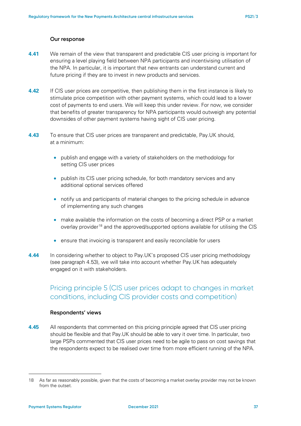### **Our response**

- **4.41** We remain of the view that transparent and predictable CIS user pricing is important for ensuring a level playing field between NPA participants and incentivising utilisation of the NPA. In particular, it is important that new entrants can understand current and future pricing if they are to invest in new products and services.
- **4.42** If CIS user prices are competitive, then publishing them in the first instance is likely to stimulate price competition with other payment systems, which could lead to a lower cost of payments to end users. We will keep this under review. For now, we consider that benefits of greater transparency for NPA participants would outweigh any potential downsides of other payment systems having sight of CIS user pricing.
- **4.43** To ensure that CIS user prices are transparent and predictable, Pay.UK should, at a minimum:
	- publish and engage with a variety of stakeholders on the methodology for setting CIS user prices
	- publish its CIS user pricing schedule, for both mandatory services and any additional optional services offered
	- notify us and participants of material changes to the pricing schedule in advance of implementing any such changes
	- make available the information on the costs of becoming a direct PSP or a market overlay provider<sup>[18](#page-36-0)</sup> and the approved/supported options available for utilising the CIS
	- ensure that invoicing is transparent and easily reconcilable for users
- **4.44** In considering whether to object to Pay.UK's proposed CIS user pricing methodology (see paragraph [4.53\)](#page-38-0), we will take into account whether Pay.UK has adequately engaged on it with stakeholders.

## Pricing principle 5 (CIS user prices adapt to changes in market conditions, including CIS provider costs and competition)

### **Respondents' views**

**4.45** All respondents that commented on this pricing principle agreed that CIS user pricing should be flexible and that Pay.UK should be able to vary it over time. In particular, two large PSPs commented that CIS user prices need to be agile to pass on cost savings that the respondents expect to be realised over time from more efficient running of the NPA.

<span id="page-36-0"></span><sup>18</sup> As far as reasonably possible, given that the costs of becoming a market overlay provider may not be known from the outset.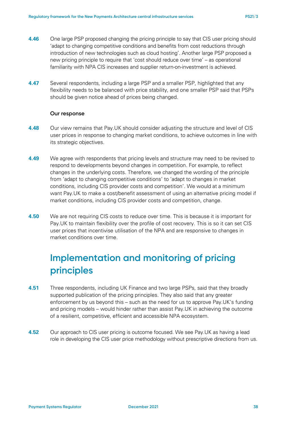- **4.46** One large PSP proposed changing the pricing principle to say that CIS user pricing should 'adapt to changing competitive conditions and benefits from cost reductions through introduction of new technologies such as cloud hosting'. Another large PSP proposed a new pricing principle to require that 'cost should reduce over time' – as operational familiarity with NPA CIS increases and supplier return-on-investment is achieved.
- **4.47** Several respondents, including a large PSP and a smaller PSP, highlighted that any flexibility needs to be balanced with price stability, and one smaller PSP said that PSPs should be given notice ahead of prices being changed.

### **Our response**

- **4.48** Our view remains that Pay.UK should consider adjusting the structure and level of CIS user prices in response to changing market conditions, to achieve outcomes in line with its strategic objectives.
- **4.49** We agree with respondents that pricing levels and structure may need to be revised to respond to developments beyond changes in competition. For example, to reflect changes in the underlying costs. Therefore, we changed the wording of the principle from 'adapt to changing competitive conditions' to 'adapt to changes in market conditions, including CIS provider costs and competition'. We would at a minimum want Pay.UK to make a cost/benefit assessment of using an alternative pricing model if market conditions, including CIS provider costs and competition, change.
- **4.50** We are not requiring CIS costs to reduce over time. This is because it is important for Pay.UK to maintain flexibility over the profile of cost recovery. This is so it can set CIS user prices that incentivise utilisation of the NPA and are responsive to changes in market conditions over time.

# **Implementation and monitoring of pricing principles**

- **4.51** Three respondents, including UK Finance and two large PSPs, said that they broadly supported publication of the pricing principles. They also said that any greater enforcement by us beyond this – such as the need for us to approve Pay.UK's funding and pricing models – would hinder rather than assist Pay.UK in achieving the outcome of a resilient, competitive, efficient and accessible NPA ecosystem.
- **4.52** Our approach to CIS user pricing is outcome focused. We see Pay.UK as having a lead role in developing the CIS user price methodology without prescriptive directions from us.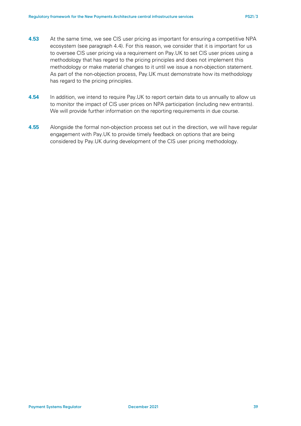- <span id="page-38-0"></span>**4.53** At the same time, we see CIS user pricing as important for ensuring a competitive NPA ecosystem (see paragraph [4.4\)](#page-28-1). For this reason, we consider that it is important for us to oversee CIS user pricing via a requirement on Pay.UK to set CIS user prices using a methodology that has regard to the pricing principles and does not implement this methodology or make material changes to it until we issue a non-objection statement. As part of the non-objection process, Pay.UK must demonstrate how its methodology has regard to the pricing principles.
- **4.54** In addition, we intend to require Pay.UK to report certain data to us annually to allow us to monitor the impact of CIS user prices on NPA participation (including new entrants). We will provide further information on the reporting requirements in due course.
- **4.55** Alongside the formal non-objection process set out in the direction, we will have regular engagement with Pay.UK to provide timely feedback on options that are being considered by Pay.UK during development of the CIS user pricing methodology.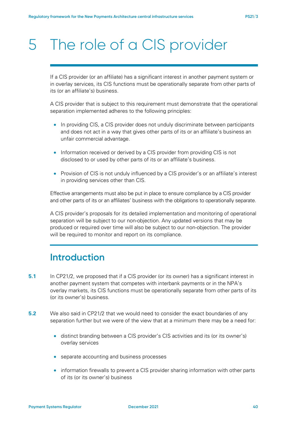# <span id="page-39-0"></span>5 The role of a CIS provider

If a CIS provider (or an affiliate) has a significant interest in another payment system or in overlay services, its CIS functions must be operationally separate from other parts of its (or an affiliate's) business.

A CIS provider that is subject to this requirement must demonstrate that the operational separation implemented adheres to the following principles:

- In providing CIS, a CIS provider does not unduly discriminate between participants and does not act in a way that gives other parts of its or an affiliate's business an unfair commercial advantage.
- Information received or derived by a CIS provider from providing CIS is not disclosed to or used by other parts of its or an affiliate's business.
- Provision of CIS is not unduly influenced by a CIS provider's or an affiliate's interest in providing services other than CIS.

Effective arrangements must also be put in place to ensure compliance by a CIS provider and other parts of its or an affiliates' business with the obligations to operationally separate.

A CIS provider's proposals for its detailed implementation and monitoring of operational separation will be subject to our non-objection. Any updated versions that may be produced or required over time will also be subject to our non-objection. The provider will be required to monitor and report on its compliance.

# **Introduction**

- **5.1** In CP21/2, we proposed that if a CIS provider (or its owner) has a significant interest in another payment system that competes with interbank payments or in the NPA's overlay markets, its CIS functions must be operationally separate from other parts of its (or its owner's) business.
- **5.2** We also said in CP21/2 that we would need to consider the exact boundaries of any separation further but we were of the view that at a minimum there may be a need for:
	- distinct branding between a CIS provider's CIS activities and its (or its owner's) overlay services
	- separate accounting and business processes
	- information firewalls to prevent a CIS provider sharing information with other parts of its (or its owner's) business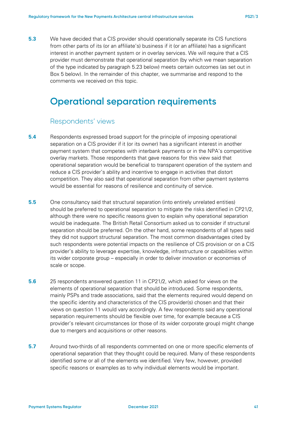**5.3** We have decided that a CIS provider should operationally separate its CIS functions from other parts of its (or an affiliate's) business if it (or an affiliate) has a significant interest in another payment system or in overlay services. We will require that a CIS provider must demonstrate that operational separation (by which we mean separation of the type indicated by paragraph [5.23](#page-44-0) below) meets certain outcomes (as set out in Box 5 below). In the remainder of this chapter, we summarise and respond to the comments we received on this topic.

## **Operational separation requirements**

### Respondents' views

- **5.4** Respondents expressed broad support for the principle of imposing operational separation on a CIS provider if it (or its owner) has a significant interest in another payment system that competes with interbank payments or in the NPA's competitive overlay markets. Those respondents that gave reasons for this view said that operational separation would be beneficial to transparent operation of the system and reduce a CIS provider's ability and incentive to engage in activities that distort competition. They also said that operational separation from other payment systems would be essential for reasons of resilience and continuity of service.
- **5.5** One consultancy said that structural separation (into entirely unrelated entities) should be preferred to operational separation to mitigate the risks identified in CP21/2, although there were no specific reasons given to explain why operational separation would be inadequate. The British Retail Consortium asked us to consider if structural separation should be preferred. On the other hand, some respondents of all types said they did not support structural separation. The most common disadvantages cited by such respondents were potential impacts on the resilience of CIS provision or on a CIS provider's ability to leverage expertise, knowledge, infrastructure or capabilities within its wider corporate group – especially in order to deliver innovation or economies of scale or scope.
- **5.6** 25 respondents answered question 11 in CP21/2, which asked for views on the elements of operational separation that should be introduced. Some respondents, mainly PSPs and trade associations, said that the elements required would depend on the specific identity and characteristics of the CIS provider(s) chosen and that their views on question 11 would vary accordingly. A few respondents said any operational separation requirements should be flexible over time, for example because a CIS provider's relevant circumstances (or those of its wider corporate group) might change due to mergers and acquisitions or other reasons.
- **5.7** Around two-thirds of all respondents commented on one or more specific elements of operational separation that they thought could be required. Many of these respondents identified some or all of the elements we identified. Very few, however, provided specific reasons or examples as to why individual elements would be important.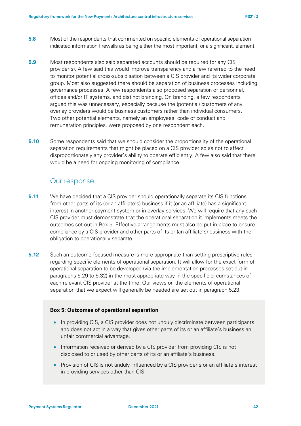- **5.8** Most of the respondents that commented on specific elements of operational separation indicated information firewalls as being either the most important, or a significant, element.
- **5.9** Most respondents also said separated accounts should be required for any CIS provider(s). A few said this would improve transparency and a few referred to the need to monitor potential cross-subsidisation between a CIS provider and its wider corporate group. Most also suggested there should be separation of business processes including governance processes. A few respondents also proposed separation of personnel, offices and/or IT systems, and distinct branding. On branding, a few respondents argued this was unnecessary, especially because the (potential) customers of any overlay providers would be business customers rather than individual consumers. Two other potential elements, namely an employees' code of conduct and remuneration principles, were proposed by one respondent each.
- **5.10** Some respondents said that we should consider the proportionality of the operational separation requirements that might be placed on a CIS provider so as not to affect disproportionately any provider's ability to operate efficiently. A few also said that there would be a need for ongoing monitoring of compliance.

### Our response

- **5.11** We have decided that a CIS provider should operationally separate its CIS functions from other parts of its (or an affiliate's) business if it (or an affiliate) has a significant interest in another payment system or in overlay services. We will require that any such CIS provider must demonstrate that the operational separation it implements meets the outcomes set out in Box 5. Effective arrangements must also be put in place to ensure compliance by a CIS provider and other parts of its or (an affiliate's) business with the obligation to operationally separate.
- **5.12** Such an outcome-focused measure is more appropriate than setting prescriptive rules regarding specific elements of operational separation. It will allow for the exact form of operational separation to be developed (via the implementation processes set out in paragraphs [5.29](#page-46-0) to [5.32\)](#page-47-0) in the most appropriate way in the specific circumstances of each relevant CIS provider at the time. Our views on the elements of operational separation that we expect will generally be needed are set out in paragraph [5.23.](#page-44-0)

### **Box 5: Outcomes of operational separation**

- In providing CIS, a CIS provider does not unduly discriminate between participants and does not act in a way that gives other parts of its or an affiliate's business an unfair commercial advantage.
- Information received or derived by a CIS provider from providing CIS is not disclosed to or used by other parts of its or an affiliate's business.
- Provision of CIS is not unduly influenced by a CIS provider's or an affiliate's interest in providing services other than CIS.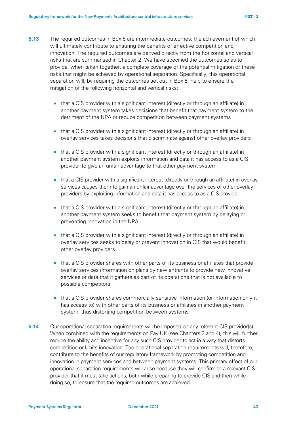- <span id="page-42-1"></span>**5.13** The required outcomes in Box 5 are intermediate outcomes, the achievement of which will ultimately contribute to ensuring the benefits of effective competition and innovation. The required outcomes are derived directly from the horizontal and vertical risks that are summarised in Chapter 2. We have specified the outcomes so as to provide, when taken together, a complete coverage of the potential mitigation of these risks that might be achieved by operational separation. Specifically, this operational separation will, by requiring the outcomes set out in Box 5, help to ensure the mitigation of the following horizontal and vertical risks:
	- that a CIS provider with a significant interest (directly or through an affiliate) in another payment system takes decisions that benefit that payment system to the detriment of the NPA or reduce competition between payment systems
	- that a CIS provider with a significant interest (directly or through an affiliate) in overlay services takes decisions that discriminate against other overlay providers
	- that a CIS provider with a significant interest (directly or through an affiliate) in another payment system exploits information and data it has access to as a CIS provider to give an unfair advantage to that other payment system
	- that a CIS provider with a significant interest (directly or through an affiliate) in overlay services causes them to gain an unfair advantage over the services of other overlay providers by exploiting information and data it has access to as a CIS provider
	- that a CIS provider with a significant interest (directly or through an affiliate) in another payment system seeks to benefit that payment system by delaying or preventing innovation in the NPA
	- that a CIS provider with a significant interest (directly or through an affiliate) in overlay services seeks to delay or prevent innovation in CIS that would benefit other overlay providers
	- that a CIS provider shares with other parts of its business or affiliates that provide overlay services information on plans by new entrants to provide new innovative services or data that it gathers as part of its operations that is not available to possible competitors
	- that a CIS provider shares commercially sensitive information (or information only it has access to) with other parts of its business or affiliates in another payment system, thus distorting competition between systems
- <span id="page-42-0"></span>**5.14** Our operational separation requirements will be imposed on any relevant CIS provider(s). When combined with the requirements on Pay.UK (see Chapters [3](#page-14-0) and [4\)](#page-28-0), this will further reduce the ability and incentive for any such CIS provider to act in a way that distorts competition or limits innovation. The operational separation requirements will, therefore, contribute to the benefits of our regulatory framework by promoting competition and innovation in payment services and between payment systems. This primary effect of our operational separation requirements will arise because they will confirm to a relevant CIS provider that it must take actions, both while preparing to provide CIS and then while doing so, to ensure that the required outcomes are achieved.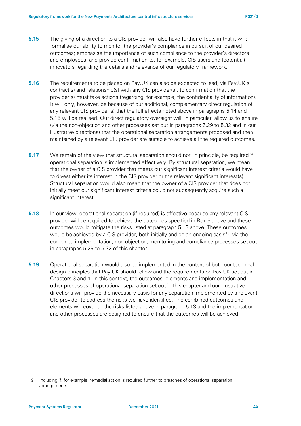- <span id="page-43-0"></span>**5.15** The giving of a direction to a CIS provider will also have further effects in that it will: formalise our ability to monitor the provider's compliance in pursuit of our desired outcomes; emphasise the importance of such compliance to the provider's directors and employees; and provide confirmation to, for example, CIS users and (potential) innovators regarding the details and relevance of our regulatory framework.
- <span id="page-43-4"></span>**5.16** The requirements to be placed on Pay.UK can also be expected to lead, via Pay.UK's contract(s) and relationship(s) with any CIS provider(s), to confirmation that the provider(s) must take actions (regarding, for example, the confidentiality of information). It will only, however, be because of our additional, complementary direct regulation of any relevant CIS provider(s) that the full effects noted above in paragraphs [5.14](#page-42-0) and [5.15](#page-43-0) will be realised. Our direct regulatory oversight will, in particular, allow us to ensure (via the non-objection and other processes set out in paragraphs [5.29](#page-46-0) to [5.32](#page-47-0) and in our illustrative directions) that the operational separation arrangements proposed and then maintained by a relevant CIS provider are suitable to achieve all the required outcomes.
- **5.17** We remain of the view that structural separation should not, in principle, be required if operational separation is implemented effectively. By structural separation, we mean that the owner of a CIS provider that meets our significant interest criteria would have to divest either its interest in the CIS provider or the relevant significant interest(s). Structural separation would also mean that the owner of a CIS provider that does not initially meet our significant interest criteria could not subsequently acquire such a significant interest.
- <span id="page-43-2"></span>**5.18** In our view, operational separation (if required) is effective because any relevant CIS provider will be required to achieve the outcomes specified in Box 5 above and these outcomes would mitigate the risks listed at paragraph [5.13](#page-42-1) above. These outcomes would be achieved by a CIS provider, both initially and on an ongoing basis<sup>19</sup>, via the combined implementation, non-objection, monitoring and compliance processes set out in paragraphs [5.29](#page-46-0) to [5.32](#page-47-0) of this chapter.
- <span id="page-43-3"></span>**5.19** Operational separation would also be implemented in the context of both our technical design principles that Pay.UK should follow and the requirements on Pay.UK set out in Chapters [3](#page-14-0) and [4.](#page-28-0) In this context, the outcomes, elements and implementation and other processes of operational separation set out in this chapter and our illustrative directions will provide the necessary basis for any separation implemented by a relevant CIS provider to address the risks we have identified. The combined outcomes and elements will cover all the risks listed above in paragraph [5.13](#page-42-1) and the implementation and other processes are designed to ensure that the outcomes will be achieved.

<span id="page-43-1"></span><sup>19</sup> Including if, for example, remedial action is required further to breaches of operational separation arrangements.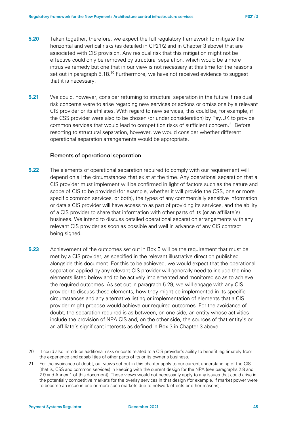- **5.20** Taken together, therefore, we expect the full regulatory framework to mitigate the horizontal and vertical risks (as detailed in CP21/2 and in Chapter [3](#page-14-0) above) that are associated with CIS provision. Any residual risk that this mitigation might not be effective could only be removed by structural separation, which would be a more intrusive remedy but one that in our view is not necessary at this time for the reasons set out in paragraph [5.18.](#page-43-2)<sup>[20](#page-44-1)</sup> Furthermore, we have not received evidence to suggest that it is necessary.
- **5.21** We could, however, consider returning to structural separation in the future if residual risk concerns were to arise regarding new services or actions or omissions by a relevant CIS provider or its affiliates. With regard to new services, this could be, for example, if the CSS provider were also to be chosen (or under consideration) by Pay.UK to provide common services that would lead to competition risks of sufficient concern.<sup>[21](#page-44-2)</sup> Before resorting to structural separation, however, we would consider whether different operational separation arrangements would be appropriate.

### **Elements of operational separation**

- <span id="page-44-3"></span>**5.22** The elements of operational separation required to comply with our requirement will depend on all the circumstances that exist at the time. Any operational separation that a CIS provider must implement will be confirmed in light of factors such as the nature and scope of CIS to be provided (for example, whether it will provide the CSS, one or more specific common services, or both), the types of any commercially sensitive information or data a CIS provider will have access to as part of providing its services, and the ability of a CIS provider to share that information with other parts of its (or an affiliate's) business. We intend to discuss detailed operational separation arrangements with any relevant CIS provider as soon as possible and well in advance of any CIS contract being signed.
- <span id="page-44-0"></span>**5.23** Achievement of the outcomes set out in Box 5 will be the requirement that must be met by a CIS provider, as specified in the relevant illustrative direction published alongside this document. For this to be achieved, we would expect that the operational separation applied by any relevant CIS provider will generally need to include the nine elements listed below and to be actively implemented and monitored so as to achieve the required outcomes. As set out in paragraph [5.29,](#page-46-0) we will engage with any CIS provider to discuss these elements, how they might be implemented in its specific circumstances and any alternative listing or implementation of elements that a CIS provider might propose would achieve our required outcomes. For the avoidance of doubt, the separation required is as between, on one side, an entity whose activities include the provision of NPA CIS and, on the other side, the sources of that entity's or an affiliate's significant interests as defined in Box 3 in Chapter [3](#page-14-0) above.

<span id="page-44-1"></span><sup>20</sup> It could also introduce additional risks or costs related to a CIS provider's ability to benefit legitimately from the experience and capabilities of other parts of its or its owner's business.

<span id="page-44-2"></span><sup>21</sup> For the avoidance of doubt, our views set out in this chapter apply to our current understanding of the CIS (that is, CSS and common services) in keeping with the current design for the NPA (see paragraphs [2.8](#page-9-2) and [2.9](#page-10-4) and Annex 1 of this document). These views would not necessarily apply to any issues that could arise in the potentially competitive markets for the overlay services in that design (for example, if market power were to become an issue in one or more such markets due to network effects or other reasons).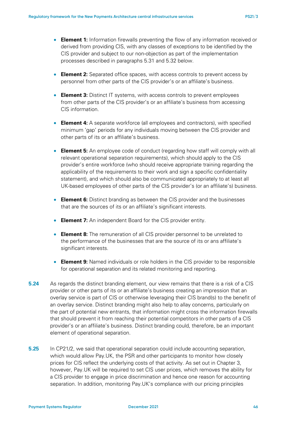- **Element 1:** Information firewalls preventing the flow of any information received or derived from providing CIS, with any classes of exceptions to be identified by the CIS provider and subject to our non-objection as part of the implementation processes described in paragraphs [5.31](#page-47-1) and [5.32](#page-47-0) below.
- **Element 2:** Separated office spaces, with access controls to prevent access by personnel from other parts of the CIS provider's or an affiliate's business.
- **Element 3:** Distinct IT systems, with access controls to prevent employees from other parts of the CIS provider's or an affiliate's business from accessing CIS information.
- **Element 4:** A separate workforce (all employees and contractors), with specified minimum 'gap' periods for any individuals moving between the CIS provider and other parts of its or an affiliate's business.
- **Element 5:** An employee code of conduct (regarding how staff will comply with all relevant operational separation requirements), which should apply to the CIS provider's entire workforce (who should receive appropriate training regarding the applicability of the requirements to their work and sign a specific confidentiality statement), and which should also be communicated appropriately to at least all UK-based employees of other parts of the CIS provider's (or an affiliate's) business.
- **Element 6:** Distinct branding as between the CIS provider and the businesses that are the sources of its or an affiliate's significant interests.
- **Element 7:** An independent Board for the CIS provider entity.
- **Element 8:** The remuneration of all CIS provider personnel to be unrelated to the performance of the businesses that are the source of its or ans affiliate's significant interests.
- **Element 9:** Named individuals or role holders in the CIS provider to be responsible for operational separation and its related monitoring and reporting.
- **5.24** As regards the distinct branding element, our view remains that there is a risk of a CIS provider or other parts of its or an affiliate's business creating an impression that an overlay service is part of CIS or otherwise leveraging their CIS brand(s) to the benefit of an overlay service. Distinct branding might also help to allay concerns, particularly on the part of potential new entrants, that information might cross the information firewalls that should prevent it from reaching their potential competitors in other parts of a CIS provider's or an affiliate's business. Distinct branding could, therefore, be an important element of operational separation.
- **5.25** In CP21/2, we said that operational separation could include accounting separation, which would allow Pay.UK, the PSR and other participants to monitor how closely prices for CIS reflect the underlying costs of that activity. As set out in Chapter [3,](#page-14-0) however, Pay.UK will be required to set CIS user prices, which removes the ability for a CIS provider to engage in price discrimination and hence one reason for accounting separation. In addition, monitoring Pay.UK's compliance with our pricing principles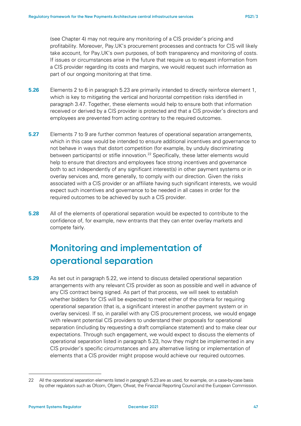(see Chapter [4\)](#page-28-0) may not require any monitoring of a CIS provider's pricing and profitability. Moreover, Pay.UK's procurement processes and contracts for CIS will likely take account, for Pay.UK's own purposes, of both transparency and monitoring of costs. If issues or circumstances arise in the future that require us to request information from a CIS provider regarding its costs and margins, we would request such information as part of our ongoing monitoring at that time.

- **5.26** Elements 2 to 6 in paragraph [5.23](#page-44-0) are primarily intended to directly reinforce element 1, which is key to mitigating the vertical and horizontal competition risks identified in paragraph [3.47.](#page-24-1) Together, these elements would help to ensure both that information received or derived by a CIS provider is protected and that a CIS provider's directors and employees are prevented from acting contrary to the required outcomes.
- **5.27** Elements 7 to 9 are further common features of operational separation arrangements, which in this case would be intended to ensure additional incentives and governance to not behave in ways that distort competition (for example, by unduly discriminating between participants) or stifle innovation.<sup>[22](#page-46-1)</sup> Specifically, these latter elements would help to ensure that directors and employees face strong incentives and governance both to act independently of any significant interest(s) in other payment systems or in overlay services and, more generally, to comply with our direction. Given the risks associated with a CIS provider or an affiliate having such significant interests, we would expect such incentives and governance to be needed in all cases in order for the required outcomes to be achieved by such a CIS provider.
- **5.28** All of the elements of operational separation would be expected to contribute to the confidence of, for example, new entrants that they can enter overlay markets and compete fairly.

# **Monitoring and implementation of operational separation**

<span id="page-46-0"></span>**5.29** As set out in paragraph [5.22,](#page-44-3) we intend to discuss detailed operational separation arrangements with any relevant CIS provider as soon as possible and well in advance of any CIS contract being signed. As part of that process, we will seek to establish whether bidders for CIS will be expected to meet either of the criteria for requiring operational separation (that is, a significant interest in another payment system or in overlay services). If so, in parallel with any CIS procurement process, we would engage with relevant potential CIS providers to understand their proposals for operational separation (including by requesting a draft compliance statement) and to make clear our expectations. Through such engagement, we would expect to discuss the elements of operational separation listed in paragraph [5.23,](#page-44-0) how they might be implemented in any CIS provider's specific circumstances and any alternative listing or implementation of elements that a CIS provider might propose would achieve our required outcomes.

<span id="page-46-1"></span><sup>22</sup> All the operational separation elements listed in paragrap[h 5.23](#page-44-0) are as used, for example, on a case-by-case basis by other regulators such as Ofcom, Ofgem, Ofwat, the Financial Reporting Council and the European Commission.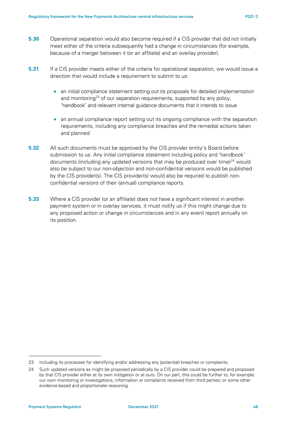- **5.30** Operational separation would also become required if a CIS provider that did not initially meet either of the criteria subsequently had a change in circumstances (for example, because of a merger between it (or an affiliate) and an overlay provider).
- <span id="page-47-1"></span>**5.31** If a CIS provider meets either of the criteria for operational separation, we would issue a direction that would include a requirement to submit to us:
	- an initial compliance statement setting out its proposals for detailed implementation and monitoring<sup>[23](#page-47-2)</sup> of our separation requirements, supported by any policy, 'handbook' and relevant internal guidance documents that it intends to issue
	- an annual compliance report setting out its ongoing compliance with the separation requirements, including any compliance breaches and the remedial actions taken and planned
- <span id="page-47-0"></span>**5.32** All such documents must be approved by the CIS provider entity's Board before submission to us. Any initial compliance statement including policy and 'handbook' documents (including any updated versions that may be produced over time) $24$  would also be subject to our non-objection and non-confidential versions would be published by the CIS provider(s). The CIS provider(s) would also be required to publish nonconfidential versions of their (annual) compliance reports.
- **5.33** Where a CIS provider (or an affiliate) does not have a significant interest in another payment system or in overlay services, it must notify us if this might change due to any proposed action or change in circumstances and in any event report annually on its position.

<span id="page-47-2"></span><sup>23</sup> Including its processes for identifying and/or addressing any (potential) breaches or complaints.

<span id="page-47-3"></span><sup>24</sup> Such updated versions as might be proposed periodically by a CIS provider could be prepared and proposed by that CIS provider either at its own instigation or at ours. On our part, this could be further to, for example: our own monitoring or investigations; information or complaints received from third parties; or some other evidence-based and proportionate reasoning.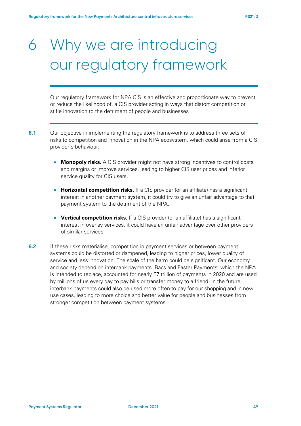# 6 Why we are introducing our regulatory framework

Our regulatory framework for NPA CIS is an effective and proportionate way to prevent, or reduce the likelihood of, a CIS provider acting in ways that distort competition or stifle innovation to the detriment of people and businesses

- **6.1** Our objective in implementing the regulatory framework is to address three sets of risks to competition and innovation in the NPA ecosystem, which could arise from a CIS provider's behaviour:
	- **Monopoly risks.** A CIS provider might not have strong incentives to control costs and margins or improve services, leading to higher CIS user prices and inferior service quality for CIS users.
	- **Horizontal competition risks.** If a CIS provider (or an affiliate) has a significant interest in another payment system, it could try to give an unfair advantage to that payment system to the detriment of the NPA.
	- **Vertical competition risks.** If a CIS provider (or an affiliate) has a significant interest in overlay services, it could have an unfair advantage over other providers of similar services.
- **6.2** If these risks materialise, competition in payment services or between payment systems could be distorted or dampened, leading to higher prices, lower quality of service and less innovation. The scale of the harm could be significant. Our economy and society depend on interbank payments. Bacs and Faster Payments, which the NPA is intended to replace, accounted for nearly £7 trillion of payments in 2020 and are used by millions of us every day to pay bills or transfer money to a friend. In the future, interbank payments could also be used more often to pay for our shopping and in new use cases, leading to more choice and better value for people and businesses from stronger competition between payment systems.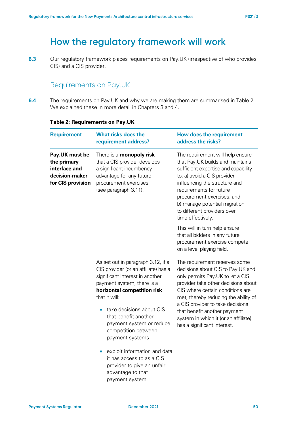# **How the regulatory framework will work**

**6.3** Our regulatory framework places requirements on Pay.UK (irrespective of who provides CIS) and a CIS provider.

## Requirements on Pay.UK

<span id="page-49-0"></span>**6.4** The requirements on Pay.UK and why we are making them are summarised in [Table 2.](#page-49-0) We explained these in more detail in Chapters [3](#page-14-0) and [4.](#page-28-0)

| <b>Requirement</b>                                                                    | <b>What risks does the</b><br>requirement address?                                                                                                                                                                                                                                                                                                                                                                                                                                | <b>How does the requirement</b><br>address the risks?                                                                                                                                                                                                                                                                                                                |
|---------------------------------------------------------------------------------------|-----------------------------------------------------------------------------------------------------------------------------------------------------------------------------------------------------------------------------------------------------------------------------------------------------------------------------------------------------------------------------------------------------------------------------------------------------------------------------------|----------------------------------------------------------------------------------------------------------------------------------------------------------------------------------------------------------------------------------------------------------------------------------------------------------------------------------------------------------------------|
| Pay.UK must be<br>the primary<br>interface and<br>decision-maker<br>for CIS provision | There is a <b>monopoly risk</b><br>that a CIS provider develops<br>a significant incumbency<br>advantage for any future<br>procurement exercises<br>(see paragraph 3.11).                                                                                                                                                                                                                                                                                                         | The requirement will help ensure<br>that Pay.UK builds and maintains<br>sufficient expertise and capability<br>to: a) avoid a CIS provider<br>influencing the structure and<br>requirements for future<br>procurement exercises; and<br>b) manage potential migration<br>to different providers over<br>time effectively.                                            |
|                                                                                       |                                                                                                                                                                                                                                                                                                                                                                                                                                                                                   | This will in turn help ensure<br>that all bidders in any future<br>procurement exercise compete<br>on a level playing field.                                                                                                                                                                                                                                         |
|                                                                                       | As set out in paragraph 3.12, if a<br>CIS provider (or an affiliate) has a<br>significant interest in another<br>payment system, there is a<br>horizontal competition risk<br>that it will:<br>take decisions about CIS<br>$\bullet$<br>that benefit another<br>payment system or reduce<br>competition between<br>payment systems<br>exploit information and data<br>$\bullet$<br>it has access to as a CIS<br>provider to give an unfair<br>advantage to that<br>payment system | The requirement reserves some<br>decisions about CIS to Pay.UK and<br>only permits Pay.UK to let a CIS<br>provider take other decisions about<br>CIS where certain conditions are<br>met, thereby reducing the ability of<br>a CIS provider to take decisions<br>that benefit another payment<br>system in which it (or an affiliate)<br>has a significant interest. |

#### **Table 2: Requirements on Pay.UK**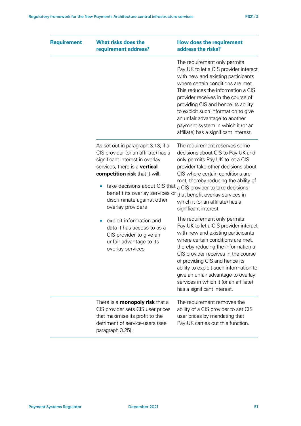| <b>Requirement</b> | <b>What risks does the</b><br>requirement address?                                                                                                                                                                                                                                                                   | <b>How does the requirement</b><br>address the risks?                                                                                                                                                                                                                                                                                                                                                                       |
|--------------------|----------------------------------------------------------------------------------------------------------------------------------------------------------------------------------------------------------------------------------------------------------------------------------------------------------------------|-----------------------------------------------------------------------------------------------------------------------------------------------------------------------------------------------------------------------------------------------------------------------------------------------------------------------------------------------------------------------------------------------------------------------------|
|                    |                                                                                                                                                                                                                                                                                                                      | The requirement only permits<br>Pay.UK to let a CIS provider interact<br>with new and existing participants<br>where certain conditions are met.<br>This reduces the information a CIS<br>provider receives in the course of<br>providing CIS and hence its ability<br>to exploit such information to give<br>an unfair advantage to another<br>payment system in which it (or an<br>affiliate) has a significant interest. |
|                    | As set out in paragraph 3.13, if a<br>CIS provider (or an affiliate) has a<br>significant interest in overlay<br>services, there is a vertical<br>competition risk that it will:<br>take decisions about CIS that<br>$\bullet$<br>benefit its overlay services or<br>discriminate against other<br>overlay providers | The requirement reserves some<br>decisions about CIS to Pay.UK and<br>only permits Pay.UK to let a CIS<br>provider take other decisions about<br>CIS where certain conditions are<br>met, thereby reducing the ability of<br>a CIS provider to take decisions<br>that benefit overlay services in<br>which it (or an affiliate) has a<br>significant interest.                                                              |
|                    | exploit information and<br>data it has access to as a<br>CIS provider to give an<br>unfair advantage to its<br>overlay services                                                                                                                                                                                      | The requirement only permits<br>Pay.UK to let a CIS provider interact<br>with new and existing participants<br>where certain conditions are met,<br>thereby reducing the information a<br>CIS provider receives in the course<br>of providing CIS and hence its<br>ability to exploit such information to<br>give an unfair advantage to overlay<br>services in which it (or an affiliate)<br>has a significant interest.   |
|                    | There is a <b>monopoly risk</b> that a<br>CIS provider sets CIS user prices<br>that maximise its profit to the<br>detriment of service-users (see<br>paragraph 3.25).                                                                                                                                                | The requirement removes the<br>ability of a CIS provider to set CIS<br>user prices by mandating that<br>Pay.UK carries out this function.                                                                                                                                                                                                                                                                                   |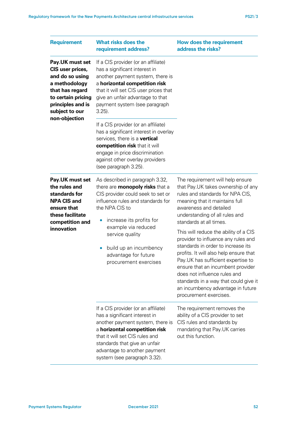| <b>Requirement</b>                                                                                                                                      | <b>What risks does the</b><br>requirement address?                                                                                                                                                                                                                                                                                  | <b>How does the requirement</b><br>address the risks?                                                                                                                                                                                                                                                                                                                                                                                                                                                                                                                                                                  |
|---------------------------------------------------------------------------------------------------------------------------------------------------------|-------------------------------------------------------------------------------------------------------------------------------------------------------------------------------------------------------------------------------------------------------------------------------------------------------------------------------------|------------------------------------------------------------------------------------------------------------------------------------------------------------------------------------------------------------------------------------------------------------------------------------------------------------------------------------------------------------------------------------------------------------------------------------------------------------------------------------------------------------------------------------------------------------------------------------------------------------------------|
| Pay.UK must set<br>CIS user prices,<br>and do so using<br>a methodology<br>that has regard<br>to certain pricing<br>principles and is<br>subject to our | If a CIS provider (or an affiliate)<br>has a significant interest in<br>another payment system, there is<br>a horizontal competition risk<br>that it will set CIS user prices that<br>give an unfair advantage to that<br>payment system (see paragraph<br>$3.25$ ).                                                                |                                                                                                                                                                                                                                                                                                                                                                                                                                                                                                                                                                                                                        |
| non-objection                                                                                                                                           | If a CIS provider (or an affiliate)<br>has a significant interest in overlay<br>services, there is a vertical<br>competition risk that it will<br>engage in price discrimination<br>against other overlay providers<br>(see paragraph 3.25).                                                                                        |                                                                                                                                                                                                                                                                                                                                                                                                                                                                                                                                                                                                                        |
| Pay.UK must set<br>the rules and<br>standards for<br><b>NPA CIS and</b><br>ensure that<br>these facilitate<br>competition and<br>innovation             | As described in paragraph 3.32,<br>there are <b>monopoly risks</b> that a<br>CIS provider could seek to set or<br>influence rules and standards for<br>the NPA CIS to<br>increase its profits for<br>example via reduced<br>service quality<br>build up an incumbency<br>$\bullet$<br>advantage for future<br>procurement exercises | The requirement will help ensure<br>that Pay.UK takes ownership of any<br>rules and standards for NPA CIS,<br>meaning that it maintains full<br>awareness and detailed<br>understanding of all rules and<br>standards at all times.<br>This will reduce the ability of a CIS<br>provider to influence any rules and<br>standards in order to increase its<br>profits. It will also help ensure that<br>Pay.UK has sufficient expertise to<br>ensure that an incumbent provider<br>does not influence rules and<br>standards in a way that could give it<br>an incumbency advantage in future<br>procurement exercises. |
|                                                                                                                                                         | If a CIS provider (or an affiliate)<br>has a significant interest in<br>another payment system, there is<br>a horizontal competition risk<br>that it will set CIS rules and<br>standards that give an unfair<br>advantage to another payment<br>system (see paragraph 3.32).                                                        | The requirement removes the<br>ability of a CIS provider to set<br>CIS rules and standards by<br>mandating that Pay.UK carries<br>out this function.                                                                                                                                                                                                                                                                                                                                                                                                                                                                   |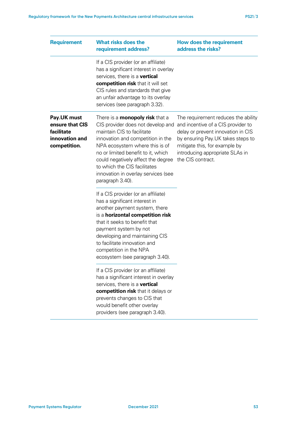| <b>Requirement</b>                                                             | <b>What risks does the</b><br>requirement address?                                                                                                                                                                                                                                                                                                      | How does the requirement<br>address the risks?                                                                                                                                                                                                 |
|--------------------------------------------------------------------------------|---------------------------------------------------------------------------------------------------------------------------------------------------------------------------------------------------------------------------------------------------------------------------------------------------------------------------------------------------------|------------------------------------------------------------------------------------------------------------------------------------------------------------------------------------------------------------------------------------------------|
|                                                                                | If a CIS provider (or an affiliate)<br>has a significant interest in overlay<br>services, there is a vertical<br>competition risk that it will set<br>CIS rules and standards that give<br>an unfair advantage to its overlay<br>services (see paragraph 3.32).                                                                                         |                                                                                                                                                                                                                                                |
| Pay.UK must<br>ensure that CIS<br>facilitate<br>innovation and<br>competition. | There is a <b>monopoly risk</b> that a<br>CIS provider does not develop and<br>maintain CIS to facilitate<br>innovation and competition in the<br>NPA ecosystem where this is of<br>no or limited benefit to it, which<br>could negatively affect the degree<br>to which the CIS facilitates<br>innovation in overlay services (see<br>paragraph 3.40). | The requirement reduces the ability<br>and incentive of a CIS provider to<br>delay or prevent innovation in CIS<br>by ensuring Pay. UK takes steps to<br>mitigate this, for example by<br>introducing appropriate SLAs in<br>the CIS contract. |
|                                                                                | If a CIS provider (or an affiliate)<br>has a significant interest in<br>another payment system, there<br>is a <b>horizontal competition risk</b><br>that it seeks to benefit that<br>payment system by not<br>developing and maintaining CIS<br>to facilitate innovation and<br>competition in the NPA<br>ecosystem (see paragraph 3.40).               |                                                                                                                                                                                                                                                |
|                                                                                | If a CIS provider (or an affiliate)<br>has a significant interest in overlay<br>services, there is a vertical<br>competition risk that it delays or<br>prevents changes to CIS that<br>would benefit other overlay<br>providers (see paragraph 3.40).                                                                                                   |                                                                                                                                                                                                                                                |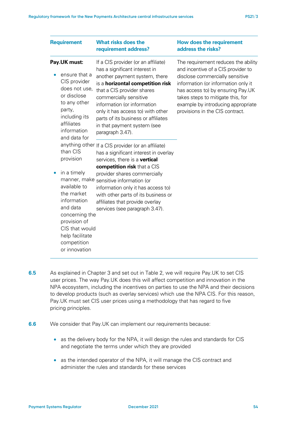| <b>Requirement</b>                                                                                                                                                                             | <b>What risks does the</b><br>requirement address?                                                                                                                                                                                                                                                                                                              | <b>How does the requirement</b><br>address the risks?                                                                                                                                                                                                                                                  |
|------------------------------------------------------------------------------------------------------------------------------------------------------------------------------------------------|-----------------------------------------------------------------------------------------------------------------------------------------------------------------------------------------------------------------------------------------------------------------------------------------------------------------------------------------------------------------|--------------------------------------------------------------------------------------------------------------------------------------------------------------------------------------------------------------------------------------------------------------------------------------------------------|
| Pay.UK must:<br>ensure that a<br>CIS provider<br>does not use,<br>or disclose<br>to any other<br>party,<br>including its<br>affiliates<br>information<br>and data for<br>than CIS<br>provision | If a CIS provider (or an affiliate)<br>has a significant interest in<br>another payment system, there<br>is a horizontal competition risk<br>that a CIS provider shares<br>commercially sensitive<br>information (or information<br>only it has access to) with other<br>parts of its business or affiliates<br>in that payment system (see<br>paragraph 3.47). | The requirement reduces the ability<br>and incentive of a CIS provider to<br>disclose commercially sensitive<br>information (or information only it<br>has access to) by ensuring Pay.UK<br>takes steps to mitigate this, for<br>example by introducing appropriate<br>provisions in the CIS contract. |
|                                                                                                                                                                                                | anything other If a CIS provider (or an affiliate)<br>has a significant interest in overlay<br>services, there is a vertical                                                                                                                                                                                                                                    |                                                                                                                                                                                                                                                                                                        |
| in a timely<br>manner, make<br>available to<br>the market<br>information<br>and data<br>concerning the<br>provision of<br>CIS that would<br>help facilitate<br>competition<br>or innovation    | competition risk that a CIS<br>provider shares commercially<br>sensitive information (or<br>information only it has access to)<br>with other parts of its business or<br>affiliates that provide overlay<br>services (see paragraph 3.47).                                                                                                                      |                                                                                                                                                                                                                                                                                                        |

- **6.5** As explained in Chapter 3 and set out in [Table 2,](#page-49-0) we will require Pay.UK to set CIS user prices. The way Pay.UK does this will affect competition and innovation in the NPA ecosystem, including the incentives on parties to use the NPA and their decisions to develop products (such as overlay services) which use the NPA CIS. For this reason, Pay.UK must set CIS user prices using a methodology that has regard to five pricing principles.
- **6.6** We consider that Pay.UK can implement our requirements because:
	- as the delivery body for the NPA, it will design the rules and standards for CIS and negotiate the terms under which they are provided
	- as the intended operator of the NPA, it will manage the CIS contract and administer the rules and standards for these services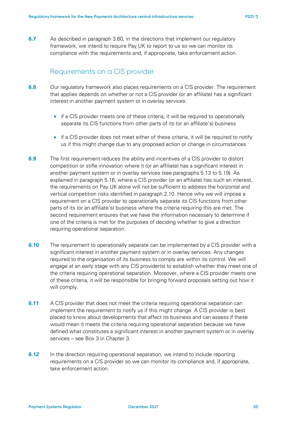**6.7** As described in paragraph [3.60,](#page-27-0) in the directions that implement our regulatory framework, we intend to require Pay.UK to report to us so we can monitor its compliance with the requirements and, if appropriate, take enforcement action.

### Requirements on a CIS provider

- **6.8** Our regulatory framework also places requirements on a CIS provider. The requirement that applies depends on whether or not a CIS provider (or an affiliate) has a significant interest in another payment system or in overlay services:
	- if a CIS provider meets one of these criteria, it will be required to operationally separate its CIS functions from other parts of its (or an affiliate's) business
	- if a CIS provider does not meet either of these criteria, it will be required to notify us if this might change due to any proposed action or change in circumstances
- <span id="page-54-0"></span>**6.9** The first requirement reduces the ability and incentives of a CIS provider to distort competition or stifle innovation where it (or an affiliate) has a significant interest in another payment system or in overlay services (see paragraphs [5.13](#page-42-1) to [5.19\)](#page-43-3). As explained in paragraph [5.16,](#page-43-4) where a CIS provider (or an affiliate) has such an interest, the requirements on Pay.UK alone will not be sufficient to address the horizontal and vertical competition risks identified in paragraph [2.10.](#page-10-5) Hence why we will impose a requirement on a CIS provider to operationally separate its CIS functions from other parts of its (or an affiliate's) business where the criteria requiring this are met. The second requirement ensures that we have the information necessary to determine if one of the criteria is met for the purposes of deciding whether to give a direction requiring operational separation.
- **6.10** The requirement to operationally separate can be implemented by a CIS provider with a significant interest in another payment system or in overlay services. Any changes required to the organisation of its business to comply are within its control. We will engage at an early stage with any CIS provider(s) to establish whether they meet one of the criteria requiring operational separation. Moreover, where a CIS provider meets one of these criteria, it will be responsible for bringing forward proposals setting out how it will comply.
- **6.11** A CIS provider that does not meet the criteria requiring operational separation can implement the requirement to notify us if this might change. A CIS provider is best placed to know about developments that affect its business and can assess if these would mean it meets the criteria requiring operational separation because we have defined what constitutes a significant interest in another payment system or in overlay services – see Box 3 in Chapter [3.](#page-14-0)
- **6.12** In the direction requiring operational separation, we intend to include reporting requirements on a CIS provider so we can monitor its compliance and, if appropriate, take enforcement action.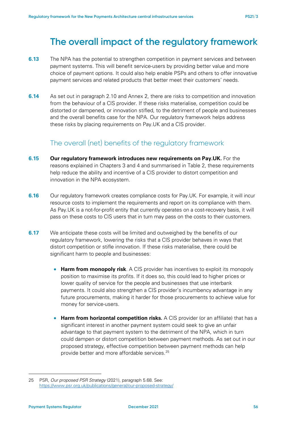# **The overall impact of the regulatory framework**

- **6.13** The NPA has the potential to strengthen competition in payment services and between payment systems. This will benefit service-users by providing better value and more choice of payment options. It could also help enable PSPs and others to offer innovative payment services and related products that better meet their customers' needs.
- **6.14** As set out in paragraph [2.10](#page-10-5) and Annex 2, there are risks to competition and innovation from the behaviour of a CIS provider. If these risks materialise, competition could be distorted or dampened, or innovation stifled, to the detriment of people and businesses and the overall benefits case for the NPA. Our regulatory framework helps address these risks by placing requirements on Pay.UK and a CIS provider.

## The overall (net) benefits of the regulatory framework

- **6.15 Our regulatory framework introduces new requirements on Pay.UK.** For the reasons explained in Chapters [3](#page-14-0) and [4](#page-28-0) and summarised in [Table 2,](#page-49-0) these requirements help reduce the ability and incentive of a CIS provider to distort competition and innovation in the NPA ecosystem.
- **6.16** Our regulatory framework creates compliance costs for Pay.UK. For example, it will incur resource costs to implement the requirements and report on its compliance with them. As Pay.UK is a not-for-profit entity that currently operates on a cost-recovery basis, it will pass on these costs to CIS users that in turn may pass on the costs to their customers.
- <span id="page-55-1"></span>**6.17** We anticipate these costs will be limited and outweighed by the benefits of our regulatory framework, lowering the risks that a CIS provider behaves in ways that distort competition or stifle innovation. If these risks materialise, there could be significant harm to people and businesses:
	- **Harm from monopoly risk**. A CIS provider has incentives to exploit its monopoly position to maximise its profits. If it does so, this could lead to higher prices or lower quality of service for the people and businesses that use interbank payments. It could also strengthen a CIS provider's incumbency advantage in any future procurements, making it harder for those procurements to achieve value for money for service-users.
	- **Harm from horizontal competition risks.** A CIS provider (or an affiliate) that has a significant interest in another payment system could seek to give an unfair advantage to that payment system to the detriment of the NPA, which in turn could dampen or distort competition between payment methods. As set out in our proposed strategy, effective competition between payment methods can help provide better and more affordable services. [25](#page-55-0)

<span id="page-55-0"></span><sup>25</sup> PSR, *Our proposed PSR Strategy* (2021), paragraph 5.68. See: <https://www.psr.org.uk/publications/general/our-proposed-strategy/>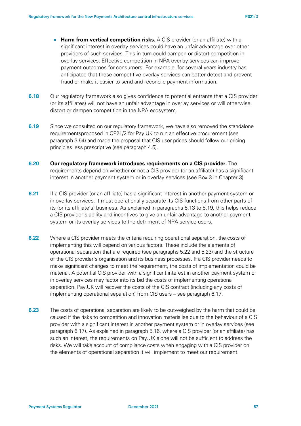- **Harm from vertical competition risks.** A CIS provider (or an affiliate) with a significant interest in overlay services could have an unfair advantage over other providers of such services. This in turn could dampen or distort competition in overlay services. Effective competition in NPA overlay services can improve payment outcomes for consumers. For example, for several years industry has anticipated that these competitive overlay services can better detect and prevent fraud or make it easier to send and reconcile payment information.
- **6.18** Our regulatory framework also gives confidence to potential entrants that a CIS provider (or its affiliates) will not have an unfair advantage in overlay services or will otherwise distort or dampen competition in the NPA ecosystem.
- **6.19** Since we consulted on our requlatory framework, we have also removed the standalone requirementsproposed in CP21/2 for Pay.UK to run an effective procurement (see paragraph [3.54\)](#page-26-0) and made the proposal that CIS user prices should follow our pricing principles less prescriptive (see paragrap[h 4.5\)](#page-29-1).
- **6.20 Our regulatory framework introduces requirements on a CIS provider.** The requirements depend on whether or not a CIS provider (or an affiliate) has a significant interest in another payment system or in overlay services (see Box 3 in Chapter [3\)](#page-14-0).
- **6.21** If a CIS provider (or an affiliate) has a significant interest in another payment system or in overlay services, it must operationally separate its CIS functions from other parts of its (or its affiliate's) business. As explained in paragraphs [5.13](#page-42-1) to [5.19,](#page-43-3) this helps reduce a CIS provider's ability and incentives to give an unfair advantage to another payment system or its overlay services to the detriment of NPA service-users.
- **6.22** Where a CIS provider meets the criteria requiring operational separation, the costs of implementing this will depend on various factors. These include the elements of operational separation that are required (see paragraphs [5.22](#page-44-3) and [5.23\)](#page-44-0) and the structure of the CIS provider's organisation and its business processes. If a CIS provider needs to make significant changes to meet the requirement, the costs of implementation could be material. A potential CIS provider with a significant interest in another payment system or in overlay services may factor into its bid the costs of implementing operational separation. Pay.UK will recover the costs of the CIS contract (including any costs of implementing operational separation) from CIS users – see paragraph [6.17.](#page-55-1)
- **6.23** The costs of operational separation are likely to be outweighed by the harm that could be caused if the risks to competition and innovation materialise due to the behaviour of a CIS provider with a significant interest in another payment system or in overlay services (see paragraph [6.17\)](#page-55-1). As explained in paragraph [5.16,](#page-43-4) where a CIS provider (or an affiliate) has such an interest, the requirements on Pay.UK alone will not be sufficient to address the risks. We will take account of compliance costs when engaging with a CIS provider on the elements of operational separation it will implement to meet our requirement.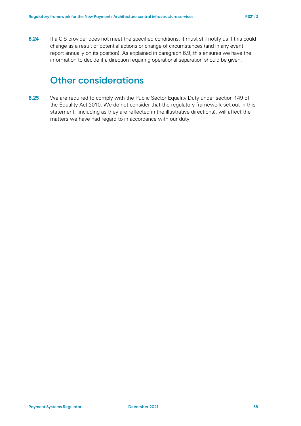**6.24** If a CIS provider does not meet the specified conditions, it must still notify us if this could change as a result of potential actions or change of circumstances (and in any event report annually on its position). As explained in paragrap[h 6.9,](#page-54-0) this ensures we have the information to decide if a direction requiring operational separation should be given.

## **Other considerations**

**6.25** We are required to comply with the Public Sector Equality Duty under section 149 of the Equality Act 2010. We do not consider that the regulatory framework set out in this statement, (including as they are reflected in the illustrative directions), will affect the matters we have had regard to in accordance with our duty.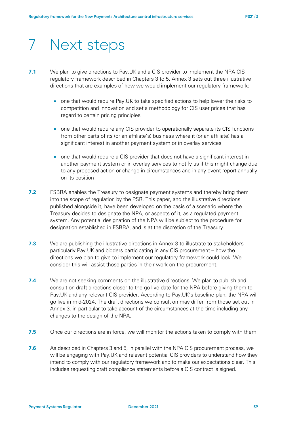# 7 Next steps

- **7.1** We plan to give directions to Pay.UK and a CIS provider to implement the NPA CIS regulatory framework described in Chapters [3](#page-14-0) to [5.](#page-39-0) Annex 3 sets out three illustrative directions that are examples of how we would implement our regulatory framework:
	- one that would require Pay.UK to take specified actions to help lower the risks to competition and innovation and set a methodology for CIS user prices that has regard to certain pricing principles
	- one that would require any CIS provider to operationally separate its CIS functions from other parts of its (or an affiliate's) business where it (or an affiliate) has a significant interest in another payment system or in overlay services
	- one that would require a CIS provider that does not have a significant interest in another payment system or in overlay services to notify us if this might change due to any proposed action or change in circumstances and in any event report annually on its position
- **7.2** FSBRA enables the Treasury to designate payment systems and thereby bring them into the scope of regulation by the PSR. This paper, and the illustrative directions published alongside it, have been developed on the basis of a scenario where the Treasury decides to designate the NPA, or aspects of it, as a regulated payment system. Any potential designation of the NPA will be subject to the procedure for designation established in FSBRA, and is at the discretion of the Treasury.
- **7.3** We are publishing the illustrative directions in Annex 3 to illustrate to stakeholders particularly Pay.UK and bidders participating in any CIS procurement – how the directions we plan to give to implement our regulatory framework could look. We consider this will assist those parties in their work on the procurement.
- **7.4** We are not seeking comments on the illustrative directions. We plan to publish and consult on draft directions closer to the go-live date for the NPA before giving them to Pay.UK and any relevant CIS provider. According to Pay.UK's baseline plan, the NPA will go live in mid-2024. The draft directions we consult on may differ from those set out in Annex 3, in particular to take account of the circumstances at the time including any changes to the design of the NPA.
- **7.5** Once our directions are in force, we will monitor the actions taken to comply with them.
- **7.6** As described in Chapters [3](#page-14-0) and [5,](#page-39-0) in parallel with the NPA CIS procurement process, we will be engaging with Pay.UK and relevant potential CIS providers to understand how they intend to comply with our regulatory framework and to make our expectations clear. This includes requesting draft compliance statements before a CIS contract is signed.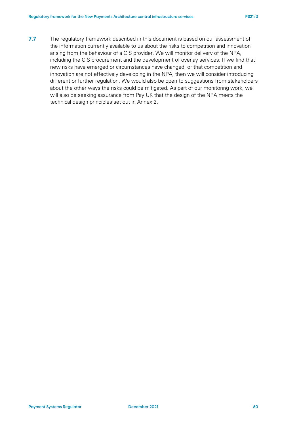**7.7** The regulatory framework described in this document is based on our assessment of the information currently available to us about the risks to competition and innovation arising from the behaviour of a CIS provider. We will monitor delivery of the NPA, including the CIS procurement and the development of overlay services. If we find that new risks have emerged or circumstances have changed, or that competition and innovation are not effectively developing in the NPA, then we will consider introducing different or further regulation. We would also be open to suggestions from stakeholders about the other ways the risks could be mitigated. As part of our monitoring work, we will also be seeking assurance from Pay.UK that the design of the NPA meets the technical design principles set out in Annex 2.